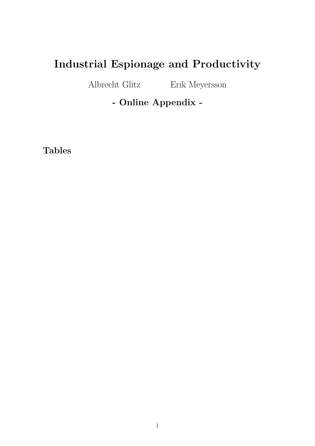# **Industrial Espionage and Productivity**

Albrecht Glitz Erik Meyersson

**- Online Appendix -**

**Tables**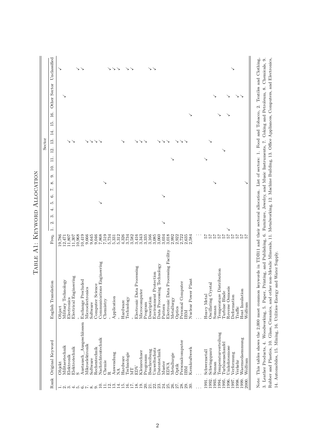|        | Unclassified                        | ↘      |                     |             |                        | ↘   | ↘                                                                   |                  |          |                  |                            |           | ↘              | ↘           | ↘           |           | ↘           |                       |                            |                   |          |                   | ゝゝ                        |                            |         |                                     |             |        |                   |       |                          |              |                     |                |                          |                  |                 |             |         |                            |  |
|--------|-------------------------------------|--------|---------------------|-------------|------------------------|-----|---------------------------------------------------------------------|------------------|----------|------------------|----------------------------|-----------|----------------|-------------|-------------|-----------|-------------|-----------------------|----------------------------|-------------------|----------|-------------------|---------------------------|----------------------------|---------|-------------------------------------|-------------|--------|-------------------|-------|--------------------------|--------------|---------------------|----------------|--------------------------|------------------|-----------------|-------------|---------|----------------------------|--|
|        | Other Sector                        |        | ↘                   |             |                        |     |                                                                     |                  |          |                  |                            |           |                |             |             |           |             |                       |                            |                   |          |                   |                           |                            |         |                                     |             |        |                   |       |                          |              |                     |                |                          |                  |                 |             |         |                            |  |
|        | $\frac{6}{1}$<br>$\overline{5}$     |        |                     |             |                        |     |                                                                     |                  |          |                  |                            |           |                |             |             |           |             |                       |                            |                   |          |                   |                           |                            |         |                                     |             |        |                   |       |                          |              |                     |                |                          |                  |                 |             |         |                            |  |
| Sector | $\vec{A}$<br>$\frac{3}{1}$<br>$\Xi$ |        |                     |             | ↘                      |     |                                                                     |                  | ↘        | ↘                |                            |           |                |             |             |           |             |                       |                            | ↘                 | ↘        |                   |                           |                            | ↘       | ↘                                   |             |        |                   |       |                          |              |                     |                |                          |                  |                 |             |         |                            |  |
|        | $\Box$<br>$\Box$<br>G               |        |                     |             |                        |     |                                                                     |                  |          |                  |                            |           |                |             |             |           |             |                       |                            |                   |          |                   |                           |                            |         |                                     |             |        |                   |       |                          |              |                     |                |                          |                  |                 |             |         |                            |  |
|        | $\infty$<br>$\overline{z}$<br>G     |        |                     |             |                        |     |                                                                     |                  |          |                  |                            |           |                |             |             |           |             |                       |                            |                   |          |                   |                           |                            |         |                                     |             |        |                   |       |                          |              |                     |                |                          |                  |                 |             |         |                            |  |
|        | S<br>4<br>S<br>2                    |        |                     |             |                        |     |                                                                     |                  |          |                  | ↘                          |           |                |             |             |           |             |                       |                            |                   |          |                   |                           |                            |         |                                     |             |        |                   |       |                          |              |                     |                |                          |                  |                 |             |         |                            |  |
|        | $\overline{a}$<br>Freq.             | 19,786 | 12,471              |             |                        |     | $\begin{array}{c} 11,807 \\ 11,307 \\ 10,968 \\ 10,419 \end{array}$ | 9,666            | 9,645    | 9,046            | 7,868                      | 7,519     | 5,734          | 5,331       | 5,312       | 4,326     | 3,734       | 3,582                 | 3,416                      | 3,343             | 3,335    | 3,166             | 3,085                     | 3,060                      | 3,034   | 3,018                               | 2,992       | 2,922  | 2,722             | 2,635 | 2,584                    | 25           |                     | $7\frac{7}{9}$ | 74                       | 75               | $\frac{7}{9}$   |             | 75      | $\overline{z}$<br>ю ю      |  |
|        | English Translation                 | Object | Military Technology | Electronics | Electrical Engineering |     | Exchange Precluded                                                  | Microelectronics | Software | Computer Science | Communications Engineering | Chemistry |                | Application |             | Hardware  | Technology  |                       | Electronic Data Processing | Microcomputer     | Program  | Description       | Protection<br>Environment | Data Processing Technology | Pattern | Electronic Data Processing Facility | Metallurgy  | Optics | Personal Computer | IBM   | Nuclear Power Plant      | Heavy Metal  | Oscillating Crystal | Soman          | Temperature Distribution | Turbine Blade    | Reverse Osmosis | Deformation | Traffic | Heat Insulation<br>Wolfram |  |
|        | Rank Original Keyword               | Objekt | Militaertechnik     | Elektronik  | Elektrotechnik         |     | $\label{cor:1} {\large\bf Australian}$                              | Mikroelektronik  | Software | Rechentechnik    | Nachrichtentechnik         | Chemie    | œ              | Anwendung   | $\tilde{M}$ | Hardware  | Technologie | $\overline{\text{M}}$ | EDV                        | Kleinrechner      | Programm | Beschreibung      | Umweltschutz              | Datentechnik               | Muster  | <b>EDVA</b>                         | Metallurgie | Optik  | Personalcomputer  | IBM   | Kernkraftwerk            | Schwermetall | Schwingquarz        | Soman          | Temperaturverteilung     | Turbinenschaufel | Umkehrosmose    | Verformung  | Verkehr | Waermedaemmung<br>Wolfram  |  |
|        |                                     |        | $ \sim$ $\sim$      |             | 4                      | ယ်ထ |                                                                     | Γ,               | ∞        |                  | $\Xi$                      | $\exists$ | $\overline{5}$ | $\vec{c}$   | Ξ.          | $\vec{v}$ | <u>َ ي</u>  | $\overline{\Gamma}$   | 18.                        | $\overline{19}$ . | 20.      | $\overline{21}$ . | 22.                       | 23.                        | 24.     | 25.                                 | 26.         | 27.    | 28.               | 29.   | $\overline{\mathcal{E}}$ | 1991.        | 1992.               | 1993.          | 1994.                    | 1995.            | 1996.           | 1997.       | 1998.   | 2000.<br>1999.             |  |

TABLE A1: KEYWORD ALLOCATION Table A1: Keyword Allocation

3. Leather Products, 4. Woodworking, 5. Paper, Printing, and Publishing, 6. Furniture, Jewelry, and Music Instruments, 7. Coking and Petroleum, 8. Chemicals, 9.<br>Rubber and Plastics, 10. Glass, Ceramics, and other non-Metal Note: This tables shows the 2,000 most common keywords in TDB11 and their sectoral allocation. List of sectors: 1. Food and Tobacco, 2. Textiles and Clothing, Note: This tables shows the 2,000 most common keywords in TDB11 and their sectoral allocation. List of sectors: 1. Food and Tobacco, 2. Textiles and Clothing, 3. Leather Products, 4. Woodworking, 5. Paper, Printing, and Publishing, 6. Furniture, Jewelry, and Music Instruments, 7. Coking and Petroleum, 8. Chemicals, 9. Rubber and Plastics, 10. Glass, Ceramics, and other non-Metalic Minerals, 11. Metalworking, 12. Machine Building, 13. Office Appliances, Computers, and Electronics, 14. Automobiles, 15. Mining, 16. Utilities–Energy and Water Supply.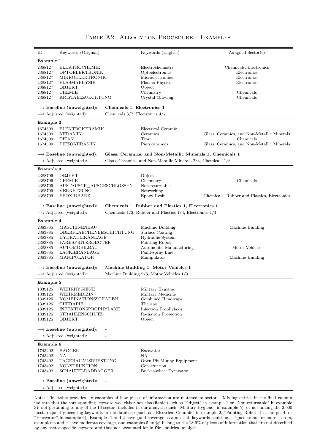| ID                                                                        | Keywords (Original)                                                                                                              |                                     | Keywords (English)                                                                                                                       | Assigned $Sector(s)$                                                                                                           |
|---------------------------------------------------------------------------|----------------------------------------------------------------------------------------------------------------------------------|-------------------------------------|------------------------------------------------------------------------------------------------------------------------------------------|--------------------------------------------------------------------------------------------------------------------------------|
| Example 1:                                                                |                                                                                                                                  |                                     |                                                                                                                                          |                                                                                                                                |
| 2388127<br>2388127<br>2388127<br>2388127<br>2388127<br>2388127<br>2388127 | <b>ELEKTROCHEMIE</b><br>OPTOELEKTRONIK<br>MIKROELEKTRONIK<br>PLASMAPHYSIK<br>OBJEKT<br><b>CHEMIE</b><br>KRISTALLZUECHTUNG        |                                     | Electrochemistry<br>Optoelectronics<br>Microelectronics<br>Plasma Physics<br>Object<br>Chemistry<br>Crystal Growing                      | Chemicals, Electronics<br>Electronics<br>Electronics<br>Electronics<br>Chemicals<br>Chemicals                                  |
|                                                                           | $\rightarrow$ Baseline (unweighted):                                                                                             | Chemicals 1, Electronics 1          |                                                                                                                                          |                                                                                                                                |
|                                                                           | $\longrightarrow$ Adjusted (weighted):                                                                                           | Chemicals $3/7$ , Electronics $4/7$ |                                                                                                                                          |                                                                                                                                |
| Example 2:                                                                |                                                                                                                                  |                                     |                                                                                                                                          |                                                                                                                                |
| 1674509<br>1674509<br>1674509<br>1674509                                  | ELEKTROKERAMIK<br>KERAMIK<br>TITAN<br>PIEZOKERAMIK                                                                               |                                     | Electrical Ceramic<br>Ceramics<br>Titan<br>Piezoceramics                                                                                 | Glass, Ceramics, and Non-Metallic Minerals<br>Chemicals<br>Glass, Ceramics, and Non-Metallic Minerals                          |
|                                                                           | $\rightarrow$ Baseline (unweighted):                                                                                             |                                     | Glass, Ceramics, and Non-Metallic Minerals 1, Chemicals 1                                                                                |                                                                                                                                |
|                                                                           | $\longrightarrow$ Adjusted (weighted):                                                                                           |                                     | Glass, Ceramics, and Non-Metallic Minerals $2/3$ , Chemicals $1/3$                                                                       |                                                                                                                                |
|                                                                           |                                                                                                                                  |                                     |                                                                                                                                          |                                                                                                                                |
| Example 3:<br>2388709<br>2388709<br>2388709<br>2388709<br>2388709         | OBJEKT<br><b>CHEMIE</b><br>AUSTAUSCH AUSGESCHLOSSEN<br>VERNETZUNG<br><b>EPOXIDHARZ</b>                                           |                                     | Object<br>Chemistry<br>Non-returnable<br>Networking<br>Epoxy Resin                                                                       | Chemicals<br>Chemicals, Rubber and Plastics, Electronics                                                                       |
|                                                                           | $\rightarrow$ Baseline (unweighted):                                                                                             |                                     | Chemicals 1, Rubber and Plastics 1, Electronics 1                                                                                        |                                                                                                                                |
|                                                                           | $\longrightarrow$ Adjusted (weighted):                                                                                           |                                     | Chemicals $1/2$ , Rubber and Plastics $1/4$ , Electronics $1/4$                                                                          |                                                                                                                                |
| Example 4:                                                                |                                                                                                                                  |                                     |                                                                                                                                          |                                                                                                                                |
| 2383885<br>2383885<br>2383885<br>2383885<br>2383885<br>2383885<br>2383885 | MASCHINENBAU<br>OBERFLAECHENBESCHICHTUNG<br>HYDRAULIKANLAGE<br>FARBSPRITZROBOTER<br>AUTOMOBILBAU<br>LACKIERANLAGE<br>MANIPULATOR |                                     | Machine Building<br>Surface Coating<br>Hydraulic System<br>Painting Robot<br>Automobile Manufacturing<br>Paint-spray Line<br>Manipulator | Machine Building<br>Motor Vehicles<br>Machine Building                                                                         |
|                                                                           | $\rightarrow$ Baseline (unweighted):                                                                                             |                                     | Machine Building 1, Motor Vehicles 1                                                                                                     |                                                                                                                                |
|                                                                           | $\longrightarrow$ Adjusted (weighted):                                                                                           |                                     | Machine Building $2/3$ , Motor Vehicles $1/3$                                                                                            |                                                                                                                                |
| Example 5:                                                                |                                                                                                                                  |                                     |                                                                                                                                          |                                                                                                                                |
| 1339125<br>1339125<br>1339125<br>1339125<br>1339125<br>1339125<br>1339125 | WEHRHYGIENE<br>WEHRMEDIZIN<br>KOMBINATIONSSCHADEN<br><b>THERAPIE</b><br>INFEKTIONSPROPHYLAXE<br>STRAHLENSCHUTZ<br>OBJEKT         |                                     | Military Hygiene<br>Military Medicine<br>Combined Handicaps<br>Therapy<br>Infection Prophylaxis<br>Radiation Protection<br>Object        |                                                                                                                                |
|                                                                           | $\rightarrow$ Baseline (unweighted):<br>$\longrightarrow$ Adjusted (weighted):                                                   |                                     |                                                                                                                                          |                                                                                                                                |
| Example 6:                                                                |                                                                                                                                  |                                     |                                                                                                                                          |                                                                                                                                |
| 1743402<br>1743402<br>1743402<br>1743402<br>1743402                       | <b>BAGGER</b><br>ΝA<br>TAGEBAUAUSRUESTUNG<br><b>KONSTRUKTION</b><br><b>SCHAUFELRADBAGGER</b>                                     |                                     | Excavator<br>NA<br>Open Pit Mining Equipment<br>Construction<br>Bucket-wheel Excavator                                                   |                                                                                                                                |
|                                                                           | $\rightarrow$ Baseline (unweighted):<br>$\longrightarrow$ Adjusted (weighted):                                                   |                                     |                                                                                                                                          |                                                                                                                                |
|                                                                           |                                                                                                                                  |                                     |                                                                                                                                          | Note This table provides six examples of how pieces of information are matched to sectors. Missing entries in the final column |

#### Table A2: Allocation Procedure - Examples

Note: This table provides six examples of how pieces of information are matched to sectors. Missing entries in the final column indicate that the corresponding keyword was either not classifiable (such as "Object" in example 1 or "Non-returnable" in example 3), not pertaining to any of the 16 sectors included in our analysis (such "Military Hygiene" in example 5), or not among the 2,000 most frequently occuring keywords in the database (such as "Electrical Ceramic" in example 2, "Painting Robot" in example 4, or "Excavator" in example 6). Examples 1 and 2 have good coverage as almost all keywords could be assigned to one or more sectors, examples 3 and 4 have moderate coverage, and examples 5 and 6 belong to the 18.6% of pieces of information that are not described<br>by any sector-specific keyword and thus not accounted for in the empirical analysis.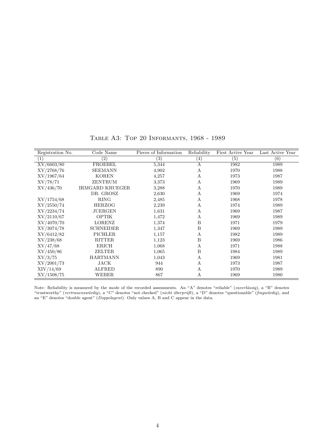| Registration No.  | Code Name              | Pieces of Information | Reliability       | First Active Year | Last Active Year |
|-------------------|------------------------|-----------------------|-------------------|-------------------|------------------|
| $\left( 1\right)$ | $\left( 2\right)$      | $\left( 3\right)$     | $\left( 4\right)$ | (5)               | (6)              |
| XV/6603/80        | <b>FROEBEL</b>         | 5,344                 | А                 | 1982              | 1989             |
| XV/2768/76        | <b>SEEMANN</b>         | 4,902                 | А                 | 1970              | 1988             |
| XV/1967/64        | <b>KOREN</b>           | 4,257                 | А                 | 1973              | 1987             |
| XV/78/71          | ZENTRUM                | 3,373                 | А                 | 1969              | 1989             |
| XV/436/70         | <b>IRMGARD KRUEGER</b> | 3,288                 | А                 | 1970              | 1989             |
|                   | DR. GROSZ              | 2,630                 | А                 | 1969              | 1974             |
| XV/1754/68        | <b>RING</b>            | 2,485                 | А                 | 1968              | 1978             |
| XV/2550/74        | <b>HERZOG</b>          | 2,239                 | А                 | 1974              | 1989             |
| XV/2234/74        | JUERGEN                | 1,631                 | А                 | 1969              | 1987             |
| XV/2110/67        | <b>OPTIK</b>           | 1,472                 | А                 | 1969              | 1989             |
| XV/4070/70        | LORENZ                 | 1,374                 | B                 | 1971              | 1979             |
| XV/3074/78        | <b>SCHNEIDER</b>       | 1,347                 | B                 | 1969              | 1989             |
| XV/6412/82        | <b>PICHLER</b>         | 1,157                 | А                 | 1982              | 1989             |
| XV/238/68         | <b>RITTER</b>          | 1,123                 | B                 | 1969              | 1986             |
| XV/47/68          | <b>ERICH</b>           | 1,068                 | А                 | 1971              | 1988             |
| XV/450/86         | ZELTER                 | 1,065                 | $\, {\bf B}$      | 1984              | 1989             |
| XV/3/75           | <b>HARTMANN</b>        | 1,043                 | А                 | 1969              | 1981             |
| XV/2001/73        | <b>JACK</b>            | 944                   | А                 | 1973              | 1987             |
| XIV/14/69         | <b>ALFRED</b>          | 890                   | А                 | 1970              | 1989             |
| XV/1508/75        | <b>WEBER</b>           | 867                   | А                 | 1969              | 1980             |

Table A3: Top 20 Informants, 1968 - 1989

Note: Reliability is measured by the mode of the recorded assessments. An "A" denotes "reliable" (*zuverlässig*), a "B" denotes "trustworthy" (*vertrauenswürdig*), a "C" denotes "not checked" (*nicht überprüft*), a "D" denotes "questionable" (*fragwürdig*), and an "E" denotes "double agent" (*Doppelagent*). Only values A, B and C appear in the data.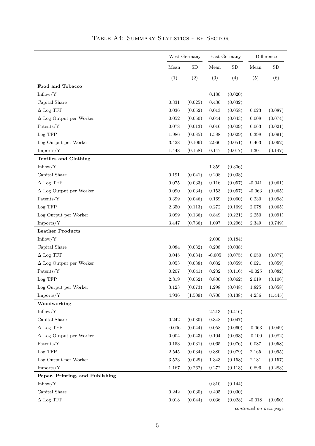|                                 |             | West Germany |           | East Germany |             | Difference |
|---------------------------------|-------------|--------------|-----------|--------------|-------------|------------|
|                                 | Mean        | <b>SD</b>    | Mean      | <b>SD</b>    | Mean        | ${\rm SD}$ |
|                                 | (1)         | (2)          | (3)       | (4)          | (5)         | (6)        |
| Food and Tobacco                |             |              |           |              |             |            |
| Inflow/Y                        |             |              | 0.180     | (0.020)      |             |            |
| Capital Share                   | 0.331       | (0.025)      | 0.436     | (0.032)      |             |            |
| $\Delta$ Log TFP                | 0.036       | (0.052)      | 0.013     | (0.058)      | $\,0.023\,$ | (0.087)    |
| $\Delta$ Log Output per Worker  | 0.052       | (0.050)      | 0.044     | (0.043)      | 0.008       | (0.074)    |
| Patents/Y                       | 0.078       | (0.013)      | 0.016     | (0.009)      | 0.063       | (0.021)    |
| Log TFP                         | 1.986       | (0.085)      | 1.588     | (0.029)      | $\,0.398\,$ | (0.091)    |
| Log Output per Worker           | $3.428\,$   | (0.106)      | 2.966     | (0.051)      | 0.463       | (0.062)    |
| Imports/Y                       | 1.448       | (0.158)      | 0.147     | (0.017)      | 1.301       | (0.147)    |
| <b>Textiles and Clothing</b>    |             |              |           |              |             |            |
| Inflow/Y                        |             |              | 1.359     | (0.306)      |             |            |
| Capital Share                   | 0.191       | (0.041)      | 0.208     | (0.038)      |             |            |
| $\Delta$ Log TFP                | 0.075       | (0.033)      | 0.116     | (0.057)      | $-0.041$    | (0.061)    |
| $\Delta$ Log Output per Worker  | 0.090       | (0.034)      | 0.153     | (0.057)      | $-0.063$    | (0.065)    |
| Patents/Y                       | 0.399       | (0.046)      | 0.169     | (0.060)      | 0.230       | (0.098)    |
| Log TFP                         | 2.350       | (0.113)      | 0.272     | (0.169)      | 2.078       | (0.065)    |
| Log Output per Worker           | 3.099       | (0.136)      | 0.849     | (0.221)      | $2.250\,$   | (0.091)    |
| Imports/Y                       | 3.447       | (0.736)      | 1.097     | (0.296)      | 2.349       | (0.749)    |
| <b>Leather Products</b>         |             |              |           |              |             |            |
| Inflow/Y                        |             |              | 2.000     | (0.184)      |             |            |
| Capital Share                   | $\,0.084\,$ | (0.032)      | 0.208     | (0.038)      |             |            |
| $\Delta$ Log TFP                | 0.045       | (0.034)      | $-0.005$  | (0.075)      | 0.050       | (0.077)    |
| $\Delta$ Log Output per Worker  | 0.053       | (0.038)      | 0.032     | (0.059)      | 0.021       | (0.059)    |
| Patents/Y                       | 0.207       | (0.041)      | 0.232     | (0.116)      | $-0.025$    | (0.082)    |
| Log TFP                         | 2.819       | (0.062)      | 0.800     | (0.062)      | 2.019       | (0.106)    |
| Log Output per Worker           | $3.123\,$   | (0.073)      | $1.298\,$ | (0.048)      | 1.825       | (0.058)    |
| Imports/Y                       | $4.936\,$   | (1.509)      | 0.700     | (0.138)      | $4.236\,$   | (1.445)    |
| Woodworking                     |             |              |           |              |             |            |
| Inflow/Y                        |             |              | $2.213\,$ | (0.416)      |             |            |
| Capital Share                   | $0.242\,$   | (0.030)      | 0.348     | (0.047)      |             |            |
| $\Delta$ Log TFP                | $-0.006$    | (0.044)      | 0.058     | (0.060)      | $-0.063$    | (0.049)    |
| $\Delta$ Log Output per Worker  | $0.004\,$   | (0.043)      | 0.104     | (0.093)      | $-0.100$    | (0.082)    |
| Patents/Y                       | 0.153       | (0.031)      | 0.065     | (0.076)      | $0.087\,$   | (0.058)    |
| Log TFP                         | $2.545\,$   | (0.034)      | 0.380     | (0.079)      | $2.165\,$   | (0.095)    |
| Log Output per Worker           | $3.523\,$   | (0.029)      | 1.343     | (0.158)      | 2.181       | (0.157)    |
| Imports/Y                       | 1.167       | (0.262)      | 0.272     | (0.113)      | 0.896       | (0.283)    |
| Paper, Printing, and Publishing |             |              |           |              |             |            |
| Inflow/Y                        |             |              | 0.810     | (0.144)      |             |            |
| Capital Share                   | 0.242       | (0.030)      | 0.405     | (0.030)      |             |            |
| $\Delta$ Log TFP                | 0.018       | (0.044)      | 0.036     | (0.028)      | $-0.018$    | (0.050)    |
|                                 |             |              |           |              |             |            |

TABLE A4: SUMMARY STATISTICS - BY SECTOR

*continued on next page*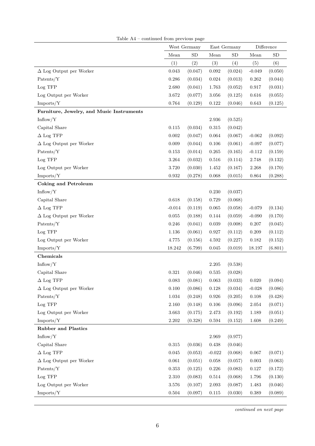|                                           |             | West Germany |             | East Germany |                    | Difference |
|-------------------------------------------|-------------|--------------|-------------|--------------|--------------------|------------|
|                                           | Mean        | ${\rm SD}$   | Mean        | ${\rm SD}$   | Mean               | ${\rm SD}$ |
|                                           | (1)         | (2)          | (3)         | (4)          | (5)                | (6)        |
| $\Delta$ Log Output per Worker            | 0.043       | (0.047)      | 0.092       | (0.024)      | $-0.049$           | (0.050)    |
| Patents/Y                                 | 0.286       | (0.034)      | 0.024       | (0.013)      | 0.262              | (0.044)    |
| Log TFP                                   | 2.680       | (0.041)      | 1.763       | (0.052)      | 0.917              | (0.031)    |
| Log Output per Worker                     | 3.672       | (0.077)      | 3.056       | (0.125)      | 0.616              | (0.055)    |
| Imports/Y                                 | 0.764       | (0.129)      | 0.122       | (0.046)      | 0.643              | (0.125)    |
| Furniture, Jewelry, and Music Instruments |             |              |             |              |                    |            |
| Inflow/Y                                  |             |              | $2.936\,$   | (0.525)      |                    |            |
| Capital Share                             | 0.115       | (0.034)      | 0.315       | (0.042)      |                    |            |
| $\Delta$ Log TFP                          | 0.002       | (0.047)      | 0.064       | (0.067)      | $-0.062$           | (0.092)    |
| $\Delta$ Log Output per Worker            | 0.009       | (0.044)      | 0.106       | (0.061)      | $-0.097$           | (0.077)    |
| $\text{Patterns}/\text{Y}$                | 0.153       | (0.014)      | 0.265       | (0.165)      | $-0.112$           | (0.159)    |
| Log TFP                                   | 3.264       | (0.032)      | 0.516       | (0.114)      | 2.748              | (0.132)    |
| Log Output per Worker                     | 3.720       | (0.030)      | 1.452       | (0.167)      | 2.268              | (0.170)    |
| Imports/Y                                 | 0.932       | (0.278)      | 0.068       | (0.015)      | 0.864              | (0.288)    |
| <b>Coking and Petroleum</b>               |             |              |             |              |                    |            |
| Inflow/Y                                  |             |              | 0.230       | (0.037)      |                    |            |
| Capital Share                             | 0.618       | (0.158)      | 0.729       | (0.068)      |                    |            |
| $\Delta$ Log TFP                          | $-0.014$    | (0.119)      | 0.065       | (0.058)      | $-0.079$           | (0.134)    |
| $\Delta$ Log Output per Worker            | $\,0.055\,$ | (0.188)      | 0.144       | (0.059)      | $-0.090$           | (0.170)    |
| Patents/Y                                 | 0.246       | (0.041)      | 0.039       | (0.008)      | 0.207              | (0.045)    |
| Log TFP                                   | 1.136       | (0.061)      | 0.927       | (0.112)      | $0.209\,$          | (0.112)    |
| Log Output per Worker                     | 4.775       | (0.156)      | 4.592       | (0.227)      | $\rm 0.182$        | (0.152)    |
| Imports/Y                                 | 18.242      | (6.799)      | 0.045       | (0.019)      | 18.197             | (6.801)    |
| <b>Chemicals</b>                          |             |              |             |              |                    |            |
| Inflow/Y                                  |             |              | 2.205       | (0.538)      |                    |            |
| Capital Share                             | 0.321       | (0.046)      | 0.535       | (0.028)      |                    |            |
| $\Delta$ Log TFP                          | 0.083       | (0.081)      | $\,0.063\,$ | (0.033)      | 0.020              | (0.094)    |
| $\Delta$ Log Output per Worker            | 0.100       | (0.086)      | $0.128\,$   | (0.034)      | $-0.028$           | (0.086)    |
| Patents/Y                                 | 1.034       | (0.248)      | $\,0.926\,$ | (0.205)      | $0.108\,$          | (0.428)    |
| Log TFP                                   | 2.160       | (0.148)      | $0.106\,$   | (0.096)      | $\phantom{-}2.054$ | (0.071)    |
| Log Output per Worker                     | $3.663\,$   | (0.175)      | $2.473\,$   | (0.192)      | 1.189              | (0.051)    |
| Imports/Y                                 | $2.202\,$   | (0.328)      | $\,0.594\,$ | (0.152)      | 1.608              | (0.249)    |
| <b>Rubber and Plastics</b>                |             |              |             |              |                    |            |
| Inflow/Y                                  |             |              | 2.969       | (0.977)      |                    |            |
| Capital Share                             | $\,0.315\,$ | (0.036)      | $0.438\,$   | (0.046)      |                    |            |
| $\Delta$ Log TFP                          | 0.045       | (0.053)      | $-0.022$    | (0.068)      | 0.067              | (0.071)    |
| $\Delta$ Log Output per Worker            | 0.061       | (0.051)      | $\,0.058\,$ | (0.057)      | $\,0.003\,$        | (0.063)    |
| Patents/Y                                 | $\,0.353\,$ | (0.125)      | 0.226       | (0.083)      | $0.127\,$          | (0.172)    |
| Log TFP                                   | $2.310\,$   | (0.083)      | $0.514\,$   | (0.068)      | 1.796              | (0.130)    |
| Log Output per Worker                     | $3.576\,$   | (0.107)      | $2.093\,$   | (0.087)      | 1.483              | (0.046)    |
| Imports/Y                                 | 0.504       | (0.097)      | 0.115       | (0.030)      | 0.389              | (0.089)    |

Table A4 – continued from previous page

*continued on next page*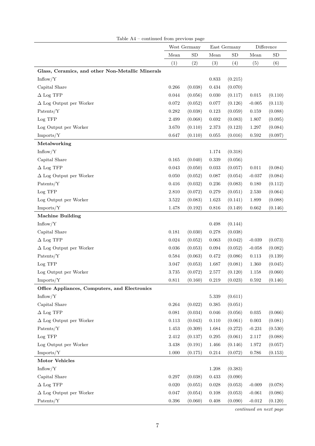|                                                  |             | West Germany |             | East Germany |             | Difference |
|--------------------------------------------------|-------------|--------------|-------------|--------------|-------------|------------|
|                                                  | Mean        | SD           | Mean        | ${\rm SD}$   | Mean        | <b>SD</b>  |
|                                                  | (1)         | (2)          | (3)         | (4)          | (5)         | (6)        |
| Glass, Ceramics, and other Non-Metallic Minerals |             |              |             |              |             |            |
| Inflow/Y                                         |             |              | 0.833       | (0.215)      |             |            |
| Capital Share                                    | 0.266       | (0.038)      | 0.434       | (0.070)      |             |            |
| $\Delta$ Log TFP                                 | 0.044       | (0.056)      | 0.030       | (0.117)      | $\,0.015\,$ | (0.110)    |
| $\Delta$ Log Output per Worker                   | 0.072       | (0.052)      | 0.077       | (0.126)      | $-0.005$    | (0.113)    |
| Patents/Y                                        | $\,0.282\,$ | (0.038)      | 0.123       | (0.059)      | 0.159       | (0.088)    |
| Log TFP                                          | 2.499       | (0.068)      | 0.692       | (0.083)      | 1.807       | (0.095)    |
| Log Output per Worker                            | 3.670       | (0.110)      | 2.373       | (0.123)      | 1.297       | (0.084)    |
| Imports/Y                                        | 0.647       | (0.110)      | 0.055       | (0.016)      | 0.592       | (0.097)    |
| Metalworking                                     |             |              |             |              |             |            |
| Inflow/Y                                         |             |              | 1.174       | (0.318)      |             |            |
| Capital Share                                    | 0.165       | (0.040)      | 0.339       | (0.056)      |             |            |
| $\Delta$ Log TFP                                 | 0.043       | (0.050)      | 0.033       | (0.057)      | 0.011       | (0.084)    |
| $\Delta$ Log Output per Worker                   | 0.050       | (0.052)      | 0.087       | (0.054)      | $-0.037$    | (0.084)    |
| Patents/Y                                        | 0.416       | (0.032)      | 0.236       | (0.083)      | $0.180\,$   | (0.112)    |
| $Log$ $TFP$                                      | 2.810       | (0.072)      | 0.279       | (0.051)      | $2.530\,$   | (0.064)    |
| Log Output per Worker                            | 3.522       | (0.083)      | 1.623       | (0.141)      | 1.899       | (0.088)    |
| Imports/Y                                        | 1.478       | (0.192)      | 0.816       | (0.149)      | 0.662       | (0.146)    |
| <b>Machine Building</b>                          |             |              |             |              |             |            |
| Inflow/Y                                         |             |              | 0.498       | (0.144)      |             |            |
| Capital Share                                    | 0.181       | (0.030)      | 0.278       | (0.038)      |             |            |
| $\Delta$ Log TFP                                 | 0.024       | (0.052)      | 0.063       | (0.042)      | $-0.039$    | (0.073)    |
| $\Delta$ Log Output per Worker                   | $\,0.036\,$ | (0.053)      | 0.094       | (0.052)      | $-0.058$    | (0.082)    |
| Patents/Y                                        | 0.584       | (0.063)      | 0.472       | (0.086)      | $0.113\,$   | (0.139)    |
| Log TFP                                          | 3.047       | (0.053)      | 1.687       | (0.081)      | 1.360       | (0.045)    |
| Log Output per Worker                            | $3.735\,$   | (0.072)      | $2.577\,$   | (0.120)      | 1.158       | (0.060)    |
| Imports/Y                                        | 0.811       | (0.160)      | 0.219       | (0.023)      | 0.592       | (0.146)    |
| Office Appliances, Computers, and Electronics    |             |              |             |              |             |            |
| Inflow/Y                                         |             |              | 5.339       | (0.611)      |             |            |
| Capital Share                                    | 0.264       | (0.022)      | 0.385       | (0.051)      |             |            |
| $\Delta$ Log TFP                                 | 0.081       | (0.034)      | 0.046       | (0.056)      | $\,0.035\,$ | (0.066)    |
| $\Delta$ Log Output per Worker                   | $0.113\,$   | (0.043)      | 0.110       | (0.061)      | $\,0.003\,$ | (0.081)    |
| Patents/Y                                        | 1.453       | (0.309)      | 1.684       | (0.272)      | $-0.231$    | (0.530)    |
| Log TFP                                          | $2.412\,$   | (0.137)      | $0.295\,$   | (0.061)      | 2.117       | (0.088)    |
| Log Output per Worker                            | 3.438       | (0.191)      | 1.466       | (0.146)      | $1.972\,$   | (0.057)    |
| Imports/Y                                        | 1.000       | (0.175)      | 0.214       | (0.072)      | $0.786\,$   | (0.153)    |
| Motor Vehicles                                   |             |              |             |              |             |            |
| Inflow/Y                                         |             |              | 1.208       | (0.383)      |             |            |
| Capital Share                                    | 0.297       | (0.038)      | $\,0.433\,$ | (0.090)      |             |            |
| $\Delta$ Log TFP                                 | $0.020\,$   | (0.055)      | 0.028       | (0.053)      | $-0.009$    | (0.078)    |
| $\Delta$ Log Output per Worker                   | 0.047       | (0.054)      | 0.108       | (0.053)      | $-0.061$    | (0.086)    |
| Patents/Y                                        | $\,0.396\,$ | (0.060)      | 0.408       | (0.090)      | $-0.012$    | (0.120)    |

Table A4 – continued from previous page

*continued on next page*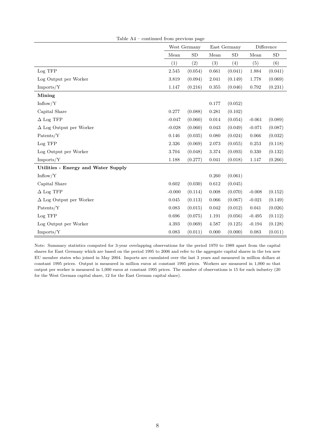|                                     |             | West Germany | East Germany |           |             | Difference |  |
|-------------------------------------|-------------|--------------|--------------|-----------|-------------|------------|--|
|                                     | Mean        | SD           | Mean         | <b>SD</b> | Mean        | <b>SD</b>  |  |
|                                     | (1)         | (2)          | (3)          | (4)       | (5)         | (6)        |  |
| Log TFP                             | $2.545\,$   | (0.054)      | 0.661        | (0.041)   | 1.884       | (0.041)    |  |
| Log Output per Worker               | 3.819       | (0.094)      | 2.041        | (0.149)   | 1.778       | (0.069)    |  |
| Imports/Y                           | 1.147       | (0.216)      | $\rm 0.355$  | (0.046)   | $\,0.792\,$ | (0.231)    |  |
| Mining                              |             |              |              |           |             |            |  |
| Inflow/Y                            |             |              | 0.177        | (0.052)   |             |            |  |
| Capital Share                       | 0.277       | (0.088)      | 0.281        | (0.102)   |             |            |  |
| $\Delta$ Log TFP                    | $-0.047$    | (0.060)      | $0.014\,$    | (0.054)   | $-0.061$    | (0.089)    |  |
| $\Delta$ Log Output per Worker      | $-0.028$    | (0.060)      | $\,0.043\,$  | (0.049)   | $-0.071$    | (0.087)    |  |
| Patents/Y                           | 0.146       | (0.035)      | 0.080        | (0.024)   | $0.066\,$   | (0.032)    |  |
| Log TFP                             | 2.326       | (0.069)      | 2.073        | (0.055)   | 0.253       | (0.118)    |  |
| Log Output per Worker               | 3.704       | (0.048)      | 3.374        | (0.093)   | 0.330       | (0.132)    |  |
| Imports/Y                           | 1.188       | (0.277)      | 0.041        | (0.018)   | 1.147       | (0.266)    |  |
| Utilities - Energy and Water Supply |             |              |              |           |             |            |  |
| Inflow/Y                            |             |              | 0.260        | (0.061)   |             |            |  |
| Capital Share                       | 0.602       | (0.030)      | 0.612        | (0.045)   |             |            |  |
| $\Delta$ Log TFP                    | $-0.000$    | (0.114)      | 0.008        | (0.070)   | $-0.008$    | (0.152)    |  |
| $\Delta$ Log Output per Worker      | $\,0.045\,$ | (0.113)      | 0.066        | (0.067)   | $-0.021$    | (0.149)    |  |
| Patents/Y                           | 0.083       | (0.015)      | 0.042        | (0.012)   | 0.041       | (0.026)    |  |
| Log TFP                             | 0.696       | (0.075)      | 1.191        | (0.056)   | $-0.495$    | (0.112)    |  |
| Log Output per Worker               | 4.393       | (0.069)      | 4.587        | (0.125)   | $-0.194$    | (0.128)    |  |
| Imports/Y                           | 0.083       | (0.011)      | 0.000        | (0.000)   | 0.083       | (0.011)    |  |

Table A4 – continued from previous page

Note: Summary statistics computed for 3-year overlapping observations for the period 1970 to 1989 apart from the capital shares for East Germany which are based on the period 1995 to 2006 and refer to the aggregate capital shares in the ten new EU member states who joined in May 2004. Imports are cumulated over the last 3 years and measured in million dollars at constant 1995 prices. Output is measured in million euros at constant 1995 prices. Workers are measured in 1,000 so that output per worker is measured in 1,000 euros at constant 1995 prices. The number of observations is 15 for each industry (20 for the West German capital share, 12 for the East German capital share).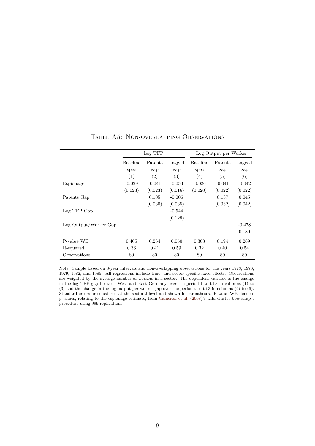|                       | Log TFP  | Log Output per Worker |          |          |          |          |
|-----------------------|----------|-----------------------|----------|----------|----------|----------|
|                       | Baseline | Patents               | Lagged   | Baseline | Patents  | Lagged   |
|                       | spec     | gap                   | gap      | spec     | gap      | gap      |
|                       | (1)      | $\left( 2\right)$     | (3)      | (4)      | (5)      | (6)      |
| Espionage             | $-0.029$ | $-0.041$              | $-0.053$ | $-0.026$ | $-0.041$ | $-0.042$ |
|                       | (0.023)  | (0.023)               | (0.016)  | (0.020)  | (0.022)  | (0.022)  |
| Patents Gap           |          | 0.105                 | $-0.006$ |          | 0.137    | 0.045    |
|                       |          | (0.030)               | (0.035)  |          | (0.032)  | (0.042)  |
| Log TFP Gap           |          |                       | $-0.544$ |          |          |          |
|                       |          |                       | (0.128)  |          |          |          |
| Log Output/Worker Gap |          |                       |          |          |          | $-0.478$ |
|                       |          |                       |          |          |          | (0.139)  |
| P-value WB            | 0.405    | 0.264                 | 0.050    | 0.363    | 0.194    | 0.269    |
| R-squared             | 0.36     | 0.41                  | 0.59     | 0.32     | 0.40     | 0.54     |
| Observations          | 80       | 80                    | 80       | 80       | 80       | 80       |

#### Table A5: Non-overlapping Observations

Note: Sample based on 3-year intervals and non-overlapping observations for the years 1973, 1976, 1979, 1982, and 1985. All regressions include time- and sector-specific fixed effects. Observations are weighted by the average number of workers in a sector. The dependent variable is the change in the log TFP gap between West and East Germany over the period t to t+3 in columns (1) to (3) and the change in the log output per worker gap over the period t to t+3 in columns (4) to  $(6)$ . Standard errors are clustered at the sectoral level and shown in parentheses. P-value WB denotes p-values, relating to the espionage estimate, from [Cameron et al.](#page-30-0) [\(2008\)](#page-30-0)'s wild cluster bootstrap-t procedure using 999 replications.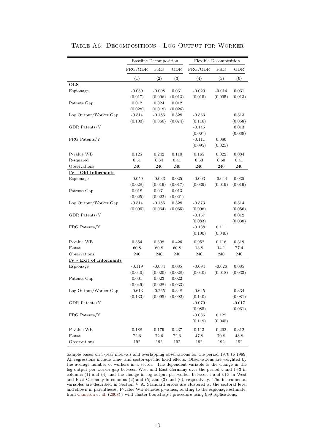|                         | <b>Baseline Decomposition</b> |          |         | Flexible Decomposition |              |          |
|-------------------------|-------------------------------|----------|---------|------------------------|--------------|----------|
|                         | FRG/GDR                       | FRG      | GDR     | FRG/GDR                | $_{\rm FRG}$ | GDR      |
|                         | (1)                           | (2)      | (3)     | (4)                    | (5)          | (6)      |
| <b>OLS</b>              |                               |          |         |                        |              |          |
| Espionage               | $-0.039$                      | $-0.008$ | 0.031   | $-0.020$               | $-0.014$     | 0.031    |
|                         | (0.017)                       | (0.006)  | (0.013) | (0.015)                | (0.005)      | (0.013)  |
| Patents Gap             | 0.012                         | 0.024    | 0.012   |                        |              |          |
|                         | (0.028)                       | (0.018)  | (0.026) |                        |              |          |
| Log Output/Worker Gap   | $-0.514$                      | $-0.186$ | 0.328   | $-0.563$               |              | 0.313    |
|                         | (0.100)                       | (0.066)  | (0.074) | (0.116)                |              | (0.058)  |
| GDR Patents/Y           |                               |          |         | $-0.145$               |              | 0.013    |
|                         |                               |          |         | (0.067)                |              | (0.039)  |
| FRG Patents/Y           |                               |          |         | $-0.111$               | 0.086        |          |
|                         |                               |          |         | (0.095)                | (0.025)      |          |
| P-value WB              | 0.125                         | 0.242    | 0.110   | 0.165                  | 0.022        | 0.084    |
| R-squared               | 0.51                          | 0.64     | 0.41    | 0.53                   | 0.60         | 0.41     |
| Observations            | 240                           | 240      | 240     | 240                    | 240          | 240      |
| IV - Old Informants     |                               |          |         |                        |              |          |
| Espionage               | $-0.059$                      | $-0.033$ | 0.025   | $-0.003$               | $-0.044$     | 0.035    |
|                         | (0.028)                       | (0.019)  | (0.017) | (0.039)                | (0.019)      | (0.019)  |
| Patents Gap             | 0.018                         | 0.031    | 0.013   |                        |              |          |
|                         | (0.025)                       | (0.022)  | (0.021) |                        |              |          |
| Log Output/Worker Gap   | $-0.514$                      | $-0.185$ | 0.328   | $-0.573$               |              | 0.314    |
|                         | (0.096)                       | (0.064)  | (0.065) | (0.096)                |              | (0.056)  |
| GDR Patents/Y           |                               |          |         | $-0.167$               |              | 0.012    |
|                         |                               |          |         | (0.083)                |              | (0.038)  |
| FRG Patents/Y           |                               |          |         | $-0.138$               | 0.111        |          |
|                         |                               |          |         | (0.100)                | (0.040)      |          |
| P-value WB              | 0.354                         | 0.308    | 0.426   | 0.952                  | 0.116        | 0.319    |
| F-stat                  | 60.8                          | 60.8     | 60.8    | 13.8                   | 14.1         | 77.4     |
| Observations            | 240                           | 240      | 240     | 240                    | 240          | 240      |
| IV - Exit of Informants |                               |          |         |                        |              |          |
| Espionage               | $-0.119$                      | $-0.034$ | 0.085   | $-0.094$               | $-0.026$     | 0.085    |
|                         | (0.040)                       | (0.020)  | (0.028) | (0.040)                | (0.018)      | (0.033)  |
| Patents Gap             | 0.001                         | 0.023    | 0.022   |                        |              |          |
|                         | (0.049)                       | (0.028)  | (0.033) |                        |              |          |
| Log Output/Worker Gap   | $-0.613$                      | $-0.265$ | 0.348   | $-0.645$               |              | 0.334    |
|                         | (0.133)                       | (0.095)  | (0.092) | (0.140)                |              | (0.081)  |
| GDR Patents/Y           |                               |          |         | $-0.079$               |              | $-0.017$ |
|                         |                               |          |         | (0.085)                |              | (0.061)  |
| FRG Patents/Y           |                               |          |         | $-0.086$               | 0.122        |          |
|                         |                               |          |         | (0.119)                | (0.045)      |          |
| P-value WB              | 0.188                         | 0.179    | 0.237   | 0.113                  | 0.202        | 0.312    |
| F-stat                  | 72.6                          | 72.6     | 72.6    | 47.8                   | 70.8         | 48.8     |
| Observations            | 192                           | 192      | 192     | 192                    | 192          | 192      |

Table A6: Decompositions - Log Output per Worker

Sample based on 3-year intervals and overlapping observations for the period 1970 to 1989. All regressions include time- and sector-specific fixed effects. Observations are weighted by the average number of workers in a sector. The dependent variable is the change in the log output per worker gap between West and East Germany over the period t and t+3 in columns (1) and (4) and the change in log output per worker between t and t+3 in West and East Germany in columns (2) and (5) and (3) and (6), respectively. The instrumental variables are described in Section V A. Standard errors are clustered at the sectoral level and shown in parentheses. P-value WB denotes p-values, relating to the espionage estimate, from [Cameron et al.](#page-30-0) [\(2008\)](#page-30-0)'s wild cluster bootstrap-t procedure using 999 replications.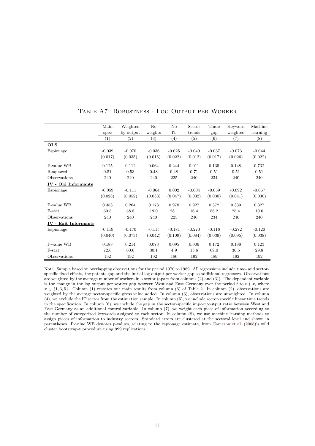|                             | Main     | Weighted  | No       | No       | Sector   | Trade    | Keyword  | Machine  |
|-----------------------------|----------|-----------|----------|----------|----------|----------|----------|----------|
|                             | spec     | by output | weights  | IT       | trends   | gap      | weighted | learning |
|                             | (1)      | (2)       | (3)      | (4)      | (5)      | (6)      | (7)      | (8)      |
| <b>OLS</b>                  |          |           |          |          |          |          |          |          |
| Espionage                   | $-0.039$ | $-0.070$  | $-0.036$ | $-0.025$ | $-0.049$ | $-0.037$ | $-0.073$ | $-0.044$ |
|                             | (0.017)  | (0.035)   | (0.015)  | (0.022)  | (0.012)  | (0.017)  | (0.026)  | (0.022)  |
| P-value WB                  | 0.125    | 0.112     | 0.064    | 0.244    | 0.011    | 0.135    | 0.148    | 0.732    |
| R-squared                   | 0.51     | 0.53      | 0.48     | 0.48     | 0.71     | 0.51     | 0.51     | 0.51     |
| Observations                | 240      | 240       | 240      | 225      | 240      | 234      | 240      | 240      |
| IV - Old Informants         |          |           |          |          |          |          |          |          |
| Espionage                   | $-0.059$ | $-0.111$  | $-0.064$ | 0.002    | $-0.004$ | $-0.059$ | $-0.092$ | $-0.067$ |
|                             | (0.028)  | (0.052)   | (0.033)  | (0.047)  | (0.032)  | (0.030)  | (0.041)  | (0.030)  |
| P-value WB                  | 0.353    | 0.264     | 0.173    | 0.978    | 0.927    | 0.372    | 0.339    | 0.327    |
| F-stat                      | 60.5     | 58.8      | 19.0     | 28.1     | 16.4     | 56.2     | 25.4     | 19.6     |
| Observations                | 240      | 240       | 240      | 225      | 240      | 234      | 240      | 240      |
| <b>IV</b> - Exit Informants |          |           |          |          |          |          |          |          |
| Espionage                   | $-0.119$ | $-0.170$  | $-0.115$ | $-0.181$ | $-0.270$ | $-0.116$ | $-0.272$ | $-0.120$ |
|                             | (0.040)  | (0.073)   | (0.042)  | (0.109)  | (0.084)  | (0.039)  | (0.095)  | (0.038)  |
| P-value WB                  | 0.188    | 0.214     | 0.073    | 0.095    | 0.006    | 0.172    | 0.188    | 0.123    |
| F-stat                      | 72.6     | 60.6      | 30.1     | 4.9      | 13.6     | 69.0     | 36.5     | 29.8     |
| Observations                | 192      | 192       | 192      | 180      | 192      | 189      | 192      | 192      |

#### Table A7: Robustness - Log Output per Worker

Note: Sample based on overlapping observations for the period 1970 to 1989. All regressions include time- and sectorspecific fixed effects, the patents gap and the initial log output per worker gap as additional regressors. Observations are weighted by the average number of workers in a sector (apart from columns (2) and (3)). The dependent variable is the change in the log output per worker gap between West and East Germany over the period  $t$  to  $t + x$ , where  $x \in \{1,3,5\}$ . Column (1) restates our main results from column (6) of Table 2. In column (2), observations are weighted by the average sector-specific gross value added. In column (3), observations are unweighted. In column (4), we exclude the IT sector from the estimation sample. In column (5), we include sector-specific linear time trends in the specification. In column (6), we include the gap in the sector-specific import/output ratio between West and East Germany as an additional control variable. In column (7), we weight each piece of information according to the number of categorized keywords assigned to each sector. In column (8), we use machine learning methods to assign pieces of information to industry sectors. Standard errors are clustered at the sectoral level and shown in parentheses. P-value WB denotes p-values, relating to the espionage estimate, from [Cameron et al.](#page-30-0) [\(2008\)](#page-30-0)'s wild cluster bootstrap-t procedure using 999 replications.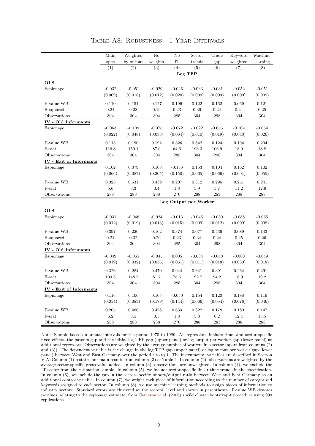|                         | Main     | Weighted  | No       | No                    | Sector   | Trade    | Keyword  | Machine  |
|-------------------------|----------|-----------|----------|-----------------------|----------|----------|----------|----------|
|                         | spec     | by output | weights  | IT                    | trends   | gap      | weighted | learning |
|                         | (1)      | (2)       | (3)      | (4)                   | (5)      | (6)      | (7)      | (8)      |
|                         |          |           |          |                       | Log TFP  |          |          |          |
| <b>OLS</b>              |          |           |          |                       |          |          |          |          |
| Espionage               | $-0.032$ | $-0.051$  | $-0.029$ | $-0.026$              | $-0.033$ | $-0.031$ | $-0.052$ | $-0.051$ |
|                         | (0.009)  | (0.018)   | (0.012)  | (0.020)               | (0.009)  | (0.009)  | (0.009)  | (0.009)  |
|                         |          |           |          |                       |          |          |          |          |
| P-value WB              | 0.110    | 0.154     | 0.127    | 0.199                 | 0.122    | 0.162    | 0.069    | 0.121    |
| R-squared               | 0.24     | 0.28      | 0.19     | 0.23                  | $0.36\,$ | 0.24     | 0.24     | 0.25     |
| Observations            | 304      | 304       | 304      | 285                   | 304      | 298      | 304      | 304      |
| IV - Old Informants     |          |           |          |                       |          |          |          |          |
| Espionage               | $-0.063$ | $-0.109$  | $-0.075$ | $-0.072$              | $-0.022$ | $-0.055$ | $-0.104$ | $-0.064$ |
|                         | (0.022)  | (0.048)   | (0.038)  | (0.064)               | (0.010)  | (0.019)  | (0.043)  | (0.026)  |
| P-value WB              | 0.113    | 0.190     | 0.192    | 0.326                 | 0.542    | 0.124    | 0.194    | 0.204    |
| F-stat                  | 116.8    | 159.1     | 87.0     | 64.6                  | 196.3    | 106.9    | 18.9     | 18.8     |
| Observations            | 304      | 304       | 304      | 285                   | 304      | 298      | 304      | 304      |
| IV - Exit of Informants |          |           |          |                       |          |          |          |          |
| Espionage               | 0.102    | 0.079     | 0.108    | $-0.136$              | 0.153    | 0.104    | 0.162    | 0.102    |
|                         | (0.066)  | (0.087)   | (0.205)  | (0.150)               | (0.065)  | (0.066)  | (0.091)  | (0.055)  |
| P-value WB              | 0.328    | 0.531     | 0.439    | 0.207                 | 0.312    | 0.296    | 0.251    | 0.241    |
| F-stat                  | 5.6      | 3.3       | 0.4      | 1.8                   | 5.9      | 5.7      | 11.2     | 12.6     |
| Observations            | 288      | 288       | 288      | 270                   | 288      | 283      | 288      | 288      |
|                         |          |           |          | Log Output per Worker |          |          |          |          |
|                         |          |           |          |                       |          |          |          |          |
| <b>OLS</b>              |          |           |          |                       |          |          |          |          |
| Espionage               | $-0.031$ | $-0.046$  | $-0.024$ | $-0.013$              | $-0.045$ | $-0.030$ | $-0.058$ | $-0.055$ |
|                         | (0.012)  | (0.019)   | (0.013)  | (0.015)               | (0.009)  | (0.012)  | (0.009)  | (0.008)  |
| P-value WB              | 0.397    | 0.220     | 0.162    | 0.374                 | 0.077    | 0.436    | 0.089    | 0.143    |
| R-squared               | 0.24     | 0.32      | 0.20     | 0.23                  | 0.34     | 0.24     | 0.25     | 0.26     |
| Observations            | 304      | 304       | 304      | 285                   | 304      | 298      | 304      | 304      |
| IV - Old Informants     |          |           |          |                       |          |          |          |          |
| Espionage               | $-0.049$ | $-0.065$  | $-0.045$ | 0.005                 | $-0.034$ | $-0.040$ | $-0.080$ | $-0.049$ |
|                         | (0.019)  | (0.032)   | (0.036)  | (0.051)               | (0.011)  | (0.018)  | (0.030)  | (0.018)  |
| P-value WB              | 0.326    | 0.284     | 0.470    | 0.944                 | 0.641    | 0.391    | 0.264    | 0.291    |
| F-stat                  | 103.3    | 148.2     | 81.7     | 75.6                  | 192.7    | 94.2     | 18.9     | 19.2     |
| Observations            | 304      | 304       | 304      | 285                   | 304      | 298      | 304      | 304      |
| IV - Exit of Informants |          |           |          |                       |          |          |          |          |
| Espionage               | 0.116    | 0.106     | 0.105    | $-0.050$              | 0.154    | 0.120    | 0.188    | 0.119    |
|                         | (0.054)  | (0.083)   | (0.179)  | (0.144)               | (0.066)  | (0.054)  | (0.076)  | (0.046)  |
| P-value WB              | 0.205    | 0.480     | 0.428    | 0.633                 | 0.322    | 0.178    | 0.180    | 0.147    |
| $F$ -stat               | 6.2      | $3.5\,$   | 0.5      | 1.8                   | 5.8      | 6.2      | 12.4     | 13.5     |
| Observations            | 288      | 288       | 288      | 270                   | 288      | 283      | 288      | 288      |

Table A8: Robustness - 1-Year Intervals

Note: Sample based on annual intervals for the period 1970 to 1989. All regressions include time- and sector-specific fixed effects, the patents gap and the initial log TFP gap (upper panel) or log output per worker gap (lower panel) as additional regressors. Observations are weighted by the average number of workers in a sector (apart from columns (2) and (3)). The dependent variable is the change in the log TFP gap (upper panel) or log output per worker gap (lower panel) between West and East Germany over the period t to t+1. The instrumental variables are described in Section V A. Column (1) restates our main results from column (3) of Table 2. In column (2), observations are weighted by the average sector-specific gross value added. In column (3), observations are unweighted. In column (4), we exclude the IT sector from the estimation sample. In column (5), we include sector-specific linear time trends in the specification. In column (6), we include the gap in the sector-specific import/output ratio between West and East Germany as an additional control variable. In column (7), we weight each piece of information according to the number of categorized keywords assigned to each sector. In column (8), we use machine learning methods to assign pieces of information to industry sectors. Standard errors are clustered at the sectoral level and shown in parentheses. P-value WB denotes p-values, relating to the espionage estimate, from [Cameron et al.](#page-30-0) [\(2008\)](#page-30-0)'s wild cluster bootstrap-t procedure using 999 replications.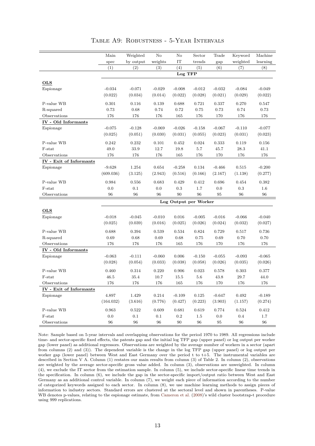|                         | Main      | Weighted  | $\rm No$ | $\rm No$              | Sector   | Trade    | Keyword  | Machine  |
|-------------------------|-----------|-----------|----------|-----------------------|----------|----------|----------|----------|
|                         | spec      | by output | weights  | IT                    | trends   | gap      | weighted | learning |
|                         | (1)       | (2)       | (3)      | (4)                   | (5)      | (6)      | (7)      | (8)      |
|                         |           |           |          | Log TFP               |          |          |          |          |
| <b>OLS</b>              |           |           |          |                       |          |          |          |          |
| Espionage               | $-0.034$  | $-0.071$  | $-0.029$ | $-0.008$              | $-0.012$ | $-0.032$ | $-0.084$ | $-0.049$ |
|                         | (0.022)   | (0.034)   | (0.014)  | (0.022)               | (0.028)  | (0.021)  | (0.029)  | (0.022)  |
| P-value WB              | 0.301     | 0.116     | 0.139    | 0.688                 | 0.721    | 0.337    | 0.270    | 0.547    |
| R-squared               | 0.73      | 0.68      | 0.74     | 0.72                  | 0.75     | 0.73     | 0.74     | 0.73     |
| Observations            | 176       | 176       | 176      | 165                   | 176      | 170      | 176      | 176      |
| IV - Old Informants     |           |           |          |                       |          |          |          |          |
| Espionage               | $-0.075$  | $-0.128$  | $-0.069$ | $-0.026$              | $-0.158$ | $-0.067$ | $-0.110$ | $-0.077$ |
|                         | (0.025)   | (0.051)   | (0.030)  | (0.031)               | (0.055)  | (0.023)  | (0.031)  | (0.023)  |
|                         |           |           |          |                       |          |          |          |          |
| P-value WB              | 0.242     | 0.232     | 0.101    | 0.452                 | 0.024    | 0.333    | 0.119    | 0.156    |
| F-stat                  | 49.0      | 33.9      | 12.7     | 19.8                  | 5.7      | 45.7     | 28.3     | 41.1     |
| Observations            | 176       | 176       | 176      | 165                   | 176      | 170      | 176      | 176      |
| IV - Exit of Informants |           |           |          |                       |          |          |          |          |
| Espionage               | $-9.628$  | 1.254     | 0.654    | $-0.258$              | 0.134    | $-0.466$ | 0.515    | $-0.200$ |
|                         | (609.036) | (3.125)   | (2.943)  | (0.516)               | (0.166)  | (2.167)  | (1.138)  | (0.277)  |
| P-value WB              | 0.984     | 0.556     | 0.683    | 0.429                 | 0.412    | 0.696    | 0.454    | 0.382    |
| F-stat                  | 0.0       | 0.1       | 0.0      | 0.3                   | 1.7      | 0.0      | 0.3      | 1.6      |
| Observations            | 96        | 96        | 96       | 90                    | 96       | 95       | 96       | 96       |
|                         |           |           |          | Log Output per Worker |          |          |          |          |
|                         |           |           |          |                       |          |          |          |          |
| <b>OLS</b>              |           |           |          |                       |          |          |          |          |
| Espionage               | $-0.018$  | $-0.045$  | $-0.010$ | 0.016                 | $-0.005$ | $-0.016$ | $-0.066$ | $-0.040$ |
|                         | (0.025)   | (0.039)   | (0.016)  | (0.025)               | (0.026)  | (0.024)  | (0.032)  | (0.027)  |
| P-value WB              | 0.688     | 0.394     | 0.539    | 0.534                 | 0.824    | 0.729    | 0.517    | 0.736    |
| R-squared               | 0.69      | 0.68      | 0.69     | 0.68                  | 0.75     | 0.69     | 0.70     | 0.70     |
| Observations            | 176       | 176       | 176      | 165                   | 176      | 170      | 176      | 176      |
| IV - Old Informants     |           |           |          |                       |          |          |          |          |
| Espionage               | $-0.063$  | $-0.111$  | $-0.060$ | 0.006                 | $-0.150$ | $-0.055$ | $-0.093$ | $-0.065$ |
|                         | (0.028)   | (0.054)   | (0.033)  | (0.038)               | (0.058)  | (0.026)  | (0.035)  | (0.026)  |
| P-value WB              | 0.460     | 0.314     | 0.220    | 0.906                 | 0.023    | 0.578    | 0.303    | 0.377    |
| F-stat                  | 46.5      | 35.4      | 10.7     | 15.5                  | 5.6      | 43.8     | 29.7     | 44.0     |
| Observations            | 176       | 176       | 176      | 165                   | 176      | 170      | 176      | 176      |
| IV - Exit of Informants |           |           |          |                       |          |          |          |          |
| Espionage               | 4.897     | 1.429     | 0.214    | $-0.109$              | 0.125    | $-0.647$ | 0.492    | $-0.189$ |
|                         | (164.032) | (3.616)   | (0.776)  | (0.427)               | (0.223)  | (3.903)  | (1.157)  | (0.274)  |
| P-value WB              | 0.963     | 0.522     | 0.609    | 0.681                 | 0.619    | 0.774    | 0.524    | 0.412    |
| F-stat                  | 0.0       | 0.1       | 0.1      | $0.2\,$               | 1.5      | $0.0\,$  | $0.4\,$  | 1.7      |
| Observations            | 96        | 96        | 96       | 90                    | 96       | 95       | 96       | 96       |

Table A9: Robustness - 5-Year Intervals

Note: Sample based on 5-year intervals and overlapping observations for the period 1970 to 1989. All regressions include time- and sector-specific fixed effects, the patents gap and the initial log TFP gap (upper panel) or log output per worker gap (lower panel) as additional regressors. Observations are weighted by the average number of workers in a sector (apart from columns  $(2)$  and  $(3)$ ). The dependent variable is the change in the log TFP gap (upper panel) or log output per worker gap (lower panel) between West and East Germany over the period t to t+5. The instrumental variables are described in Section V A. Column (1) restates our main results from column (3) of Table 2. In column (2), observations are weighted by the average sector-specific gross value added. In column (3), observations are unweighted. In column (4), we exclude the IT sector from the estimation sample. In column (5), we include sector-specific linear time trends in the specification. In column (6), we include the gap in the sector-specific import/output ratio between West and East Germany as an additional control variable. In column (7), we weight each piece of information according to the number of categorized keywords assigned to each sector. In column (8), we use machine learning methods to assign pieces of information to industry sectors. Standard errors are clustered at the sectoral level and shown in parentheses. P-value WB denotes p-values, relating to the espionage estimate, from [Cameron et al.](#page-30-0) [\(2008\)](#page-30-0)'s wild cluster bootstrap-t procedure using 999 replications.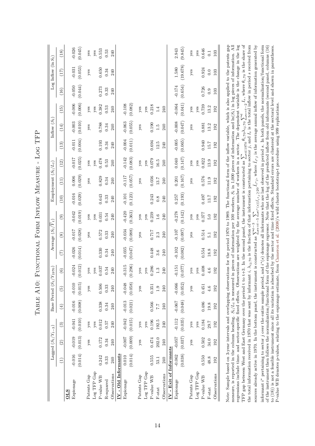<span id="page-13-0"></span>

|                                                                                                                                                                                                                                                                                                                                                                                                                                                                                                                                                                                                                                                                                                                                                                                                                                                                                                                                                                                                                                                                                                                                                                                                                                                                                                                                                                                                                                                                                                                                                                                                                                                                                                                                                                                                                                                                                                                                                                                                                                                                                        |                     | Lagged $(S_t/Y_{t-3})$ |                        |                              | Base Period (S <sub>t</sub> | $(Y_{1970})$        |                     | Average $(S_t/\overline{Y}_t)$ |                     |                     | Employment $(S_t/L_t)$ |                     |                     | Inflow $(S_t)$      |                     |                     | Log Inflow $(\ln S_t)$ |                     |
|----------------------------------------------------------------------------------------------------------------------------------------------------------------------------------------------------------------------------------------------------------------------------------------------------------------------------------------------------------------------------------------------------------------------------------------------------------------------------------------------------------------------------------------------------------------------------------------------------------------------------------------------------------------------------------------------------------------------------------------------------------------------------------------------------------------------------------------------------------------------------------------------------------------------------------------------------------------------------------------------------------------------------------------------------------------------------------------------------------------------------------------------------------------------------------------------------------------------------------------------------------------------------------------------------------------------------------------------------------------------------------------------------------------------------------------------------------------------------------------------------------------------------------------------------------------------------------------------------------------------------------------------------------------------------------------------------------------------------------------------------------------------------------------------------------------------------------------------------------------------------------------------------------------------------------------------------------------------------------------------------------------------------------------------------------------------------------------|---------------------|------------------------|------------------------|------------------------------|-----------------------------|---------------------|---------------------|--------------------------------|---------------------|---------------------|------------------------|---------------------|---------------------|---------------------|---------------------|---------------------|------------------------|---------------------|
|                                                                                                                                                                                                                                                                                                                                                                                                                                                                                                                                                                                                                                                                                                                                                                                                                                                                                                                                                                                                                                                                                                                                                                                                                                                                                                                                                                                                                                                                                                                                                                                                                                                                                                                                                                                                                                                                                                                                                                                                                                                                                        | $\widehat{E}$       | $\widehat{c}$          | $\widehat{\mathbf{e}}$ | $\left( \frac{1}{2} \right)$ | $\widetilde{5}$             | $\widehat{c}$       | $\widehat{\Xi}$     | $\overset{\circ}{(8)}$         | ම                   | (10)                | $\left(11\right)$      | $(12)$              | (13)                | (14)                | (15)                | (16)                | (17)                   | (18)                |
| Espionage<br><b>OLS</b>                                                                                                                                                                                                                                                                                                                                                                                                                                                                                                                                                                                                                                                                                                                                                                                                                                                                                                                                                                                                                                                                                                                                                                                                                                                                                                                                                                                                                                                                                                                                                                                                                                                                                                                                                                                                                                                                                                                                                                                                                                                                | (0.014)<br>$-0.016$ | (0.013)<br>$-0.019$    | (0.010)<br>$-0.041$    | (0.008)<br>$-0.016$          | (0.015)<br>$-0.010$         | (0.012)<br>$-0.024$ | (0.014)<br>$-0.026$ | (0.028)<br>$-0.017$            | (0.019)<br>$-0.042$ | (0.029)<br>$-0.016$ | (0.029)<br>$0.006$     | (0.025)<br>$-0.017$ | (0.004)<br>$-0.011$ | (0.010)<br>$-0.003$ | (0.006)<br>$-0.006$ | (0.044)<br>$-0.050$ | (0.053)<br>$-0.031$    | $-0.026$<br>(0.045) |
| Log TFP Gap<br>Patents Gap                                                                                                                                                                                                                                                                                                                                                                                                                                                                                                                                                                                                                                                                                                                                                                                                                                                                                                                                                                                                                                                                                                                                                                                                                                                                                                                                                                                                                                                                                                                                                                                                                                                                                                                                                                                                                                                                                                                                                                                                                                                             |                     | yes                    | yes                    |                              | $y$ es                      | yes                 |                     | yes                            | yes                 |                     | yes                    | $y$ es              |                     | yes                 | yes                 |                     | yes                    | $y$ es              |
| $P$ -value WB                                                                                                                                                                                                                                                                                                                                                                                                                                                                                                                                                                                                                                                                                                                                                                                                                                                                                                                                                                                                                                                                                                                                                                                                                                                                                                                                                                                                                                                                                                                                                                                                                                                                                                                                                                                                                                                                                                                                                                                                                                                                          | 0.242               | 0.172                  | 0.012<br>yes           | 0.338                        | 0.506                       | 0.037<br>$y$ es     | 0.330               | 0.572                          | 0.031<br>yes        | 0.643               | 0.829                  | 0.478<br>yes        | 0.193               | 0.788               | 0.382<br>$y$ es     | 0.273               | 0.650                  | 0.553<br>yes        |
| R-squared                                                                                                                                                                                                                                                                                                                                                                                                                                                                                                                                                                                                                                                                                                                                                                                                                                                                                                                                                                                                                                                                                                                                                                                                                                                                                                                                                                                                                                                                                                                                                                                                                                                                                                                                                                                                                                                                                                                                                                                                                                                                              | 0.33                | 0.34                   | 0.57                   | 0.34                         | 0.33                        | 0.54                | 0.34                | 0.33                           | 0.54                | 0.33                | 0.34                   | 0.53                | 0.34                | 0.34                | 0.53                | 0.33                | 0.34                   | 0.53                |
| Observations                                                                                                                                                                                                                                                                                                                                                                                                                                                                                                                                                                                                                                                                                                                                                                                                                                                                                                                                                                                                                                                                                                                                                                                                                                                                                                                                                                                                                                                                                                                                                                                                                                                                                                                                                                                                                                                                                                                                                                                                                                                                           | 240                 | 240                    | 240                    | 240                          | 240                         | 240                 | 240                 | 240                            | 240                 | 240                 | 240                    | 240                 | 240                 | 240                 | 240                 | 240                 | 240                    | 240                 |
| IV - Old Informants<br>Espionage                                                                                                                                                                                                                                                                                                                                                                                                                                                                                                                                                                                                                                                                                                                                                                                                                                                                                                                                                                                                                                                                                                                                                                                                                                                                                                                                                                                                                                                                                                                                                                                                                                                                                                                                                                                                                                                                                                                                                                                                                                                       | (0.014)<br>0.010    | (0.009)<br>$-0.007$    | (0.015)<br>$-0.042$    | (0.021)<br>$-0.013$          | $-0.048$<br>(0.058)         | (0.296)<br>$-0.315$ | (0.047)<br>$-0.035$ | (0.088)<br>$-0.034$            | (0.363)<br>$-0.420$ | (0.123)<br>$-0.101$ | (0.057)<br>$-0.117$    | (0.083)<br>$-0.142$ | (0.011)<br>$-0.004$ | (0.055)<br>$-0.063$ | (0.082)<br>$-0.108$ |                     |                        |                     |
| Patents Gap                                                                                                                                                                                                                                                                                                                                                                                                                                                                                                                                                                                                                                                                                                                                                                                                                                                                                                                                                                                                                                                                                                                                                                                                                                                                                                                                                                                                                                                                                                                                                                                                                                                                                                                                                                                                                                                                                                                                                                                                                                                                            |                     | $y$ es                 | yes                    |                              | yes                         | yes                 |                     | yes                            | yes                 |                     | yes                    | yes                 |                     | yes                 | yes                 |                     |                        |                     |
| Log TFP Gap                                                                                                                                                                                                                                                                                                                                                                                                                                                                                                                                                                                                                                                                                                                                                                                                                                                                                                                                                                                                                                                                                                                                                                                                                                                                                                                                                                                                                                                                                                                                                                                                                                                                                                                                                                                                                                                                                                                                                                                                                                                                            |                     |                        | yes                    |                              |                             | $y$ es              |                     |                                | yes                 |                     |                        | yes                 |                     |                     | yes                 |                     |                        |                     |
| P-value WB                                                                                                                                                                                                                                                                                                                                                                                                                                                                                                                                                                                                                                                                                                                                                                                                                                                                                                                                                                                                                                                                                                                                                                                                                                                                                                                                                                                                                                                                                                                                                                                                                                                                                                                                                                                                                                                                                                                                                                                                                                                                             | 0.555               | 0.474                  | 0.196                  | 0.566                        | 0.351                       | 0.286               | 0.448               | 7177                           | 0.239               | 0.243               | 0.036                  | 0.079               | 0.694               | 0.190               | 0.218               |                     |                        |                     |
| $_{\rm F-stat}$                                                                                                                                                                                                                                                                                                                                                                                                                                                                                                                                                                                                                                                                                                                                                                                                                                                                                                                                                                                                                                                                                                                                                                                                                                                                                                                                                                                                                                                                                                                                                                                                                                                                                                                                                                                                                                                                                                                                                                                                                                                                        | 53.1                | 202.0                  | 192.5                  | 7.7                          | 1.9                         | $1.3\,$             | 3.6                 | 2.3                            | 1.6                 | 0.8                 | 13.7                   | 16.5                | 12.5                | 1.5                 | 1.4                 |                     |                        |                     |
| Observations                                                                                                                                                                                                                                                                                                                                                                                                                                                                                                                                                                                                                                                                                                                                                                                                                                                                                                                                                                                                                                                                                                                                                                                                                                                                                                                                                                                                                                                                                                                                                                                                                                                                                                                                                                                                                                                                                                                                                                                                                                                                           | 240                 | 240                    | 240                    | 240                          | 240                         | 240                 | 240                 | 240                            | 240                 | 240                 | 240                    | 240                 | 240                 | 240                 | 240                 |                     |                        |                     |
| IV - Exit of Informants                                                                                                                                                                                                                                                                                                                                                                                                                                                                                                                                                                                                                                                                                                                                                                                                                                                                                                                                                                                                                                                                                                                                                                                                                                                                                                                                                                                                                                                                                                                                                                                                                                                                                                                                                                                                                                                                                                                                                                                                                                                                |                     |                        |                        |                              |                             |                     |                     |                                |                     |                     |                        |                     |                     |                     |                     |                     |                        |                     |
| Espionage                                                                                                                                                                                                                                                                                                                                                                                                                                                                                                                                                                                                                                                                                                                                                                                                                                                                                                                                                                                                                                                                                                                                                                                                                                                                                                                                                                                                                                                                                                                                                                                                                                                                                                                                                                                                                                                                                                                                                                                                                                                                              | $-0.062$            | $-0.057$               | $-0.112$               | $-0.067$                     | $-0.066$                    | $-0.151$            | $-0.102$            | $-0.107$                       | $-0.278$            | 0.257               | 0.201                  | 0.040               | $-0.005$            | $-0.008$            | $-0.064$            | $-0.174$            | 1.580                  | 2.943               |
|                                                                                                                                                                                                                                                                                                                                                                                                                                                                                                                                                                                                                                                                                                                                                                                                                                                                                                                                                                                                                                                                                                                                                                                                                                                                                                                                                                                                                                                                                                                                                                                                                                                                                                                                                                                                                                                                                                                                                                                                                                                                                        | (0.038)             | (0.037)                | (0.035)                | (0.048)                      | (0.052)                     | (0.077)             | (0.082)             | (0.097)                        | (0.142)             | (0.193)             | (0.167)                | (0.147)             | (0.065)             | (0.047)             | (0.041)             | (0.654)             | (19.678)               | (9.845)             |
| Patents Gap                                                                                                                                                                                                                                                                                                                                                                                                                                                                                                                                                                                                                                                                                                                                                                                                                                                                                                                                                                                                                                                                                                                                                                                                                                                                                                                                                                                                                                                                                                                                                                                                                                                                                                                                                                                                                                                                                                                                                                                                                                                                            |                     | $y$ es                 | yes                    |                              | yes                         | $y$ es              |                     | yes                            | $y$ es              |                     | yes                    | yes                 |                     | yes                 | $y$ es              |                     | $y$ es                 | yes                 |
| Log TFP Gap                                                                                                                                                                                                                                                                                                                                                                                                                                                                                                                                                                                                                                                                                                                                                                                                                                                                                                                                                                                                                                                                                                                                                                                                                                                                                                                                                                                                                                                                                                                                                                                                                                                                                                                                                                                                                                                                                                                                                                                                                                                                            |                     |                        | yes                    |                              |                             | yes                 |                     |                                | $y$ es              |                     |                        | yes                 |                     |                     | yes                 |                     |                        | $y$ es              |
| P-value WB                                                                                                                                                                                                                                                                                                                                                                                                                                                                                                                                                                                                                                                                                                                                                                                                                                                                                                                                                                                                                                                                                                                                                                                                                                                                                                                                                                                                                                                                                                                                                                                                                                                                                                                                                                                                                                                                                                                                                                                                                                                                             | 0.550               | 0.502                  | 0.184                  | 0.486                        | 0.451                       | 0.408               | 0.554               | 0.514                          | 0.377               | 0.497               | 0.576                  | 0.822               | 0.940               | 0.881               | 0.739               | 0.726               | 0.924                  | 0.646               |
| $F-stat$                                                                                                                                                                                                                                                                                                                                                                                                                                                                                                                                                                                                                                                                                                                                                                                                                                                                                                                                                                                                                                                                                                                                                                                                                                                                                                                                                                                                                                                                                                                                                                                                                                                                                                                                                                                                                                                                                                                                                                                                                                                                               | 48.8                | 34.0                   | 29.7                   | 19.8                         | 4.6                         | 4.6                 | 18.8                | $\frac{1}{5}$                  | 5.0                 | 13.7                | 11.9                   | 13.9                | 15.7                | 13.2                | 13.2                | 0.9                 | 0.0                    | 0.1                 |
| Observations                                                                                                                                                                                                                                                                                                                                                                                                                                                                                                                                                                                                                                                                                                                                                                                                                                                                                                                                                                                                                                                                                                                                                                                                                                                                                                                                                                                                                                                                                                                                                                                                                                                                                                                                                                                                                                                                                                                                                                                                                                                                           | 192                 | 192                    | 192                    | 192                          | 192                         | 192                 | 192                 | 192                            | 192                 | 192                 | 192                    | 192                 | 192                 | 192                 | 192                 | 103                 | 103                    | 103                 |
| TFP gap between West and East Germany over the period t to t+3. In the second panel, the instrument is constructed as $\sum_{i\in 1970} \theta_{i,70} \lambda_{ij,70} \sum_{s=t-2}^{t} I_s$ , where $\theta_{i,70}$ is the share of<br>Note: Sample based on 3-year intervals and overlapping observations for the period 1970 to 1989. The functional form of the inflow variable, which is also applied to the patents gap<br>measure, is reported in the column heading. $S_t/L_t$ is measured in pieces of information per 100 workers, $S_t$ in 1,000 pieces of information and $\ln(S_t)$ in log pieces of information. All<br>regressions include time- and sector-specific fixed effects. Observations are weighted by the average number of workers in a sector. The dependent variable is the change in the log<br>the total information received in 1970 that was sent by informant $i$ , $\lambda_{ij,70}$ is the fraction of that information pertaining to sector j, and I <sub>s</sub> is the total inflow in period s received from<br>sources already active in 1970. In the bottom panel, the instrument is constructed as $\sum_{s=t-5}^{t-3} \sum_{i^*(s)   \tilde{l}_i * j \geq 20} \tilde{l}_i * j$ , where $\tilde{l}_i * j$ is the average annual inflow of information generated by sources alre<br>informant $i^*$ pertaining to sector j over the entire sample period, and $i^*(s)$ denotes all informants who are last observed in period s. In both panels, the normalization/functional form<br>of the instrument then follows the normalization/functional form of the espionage regressor. Note that the log of the predicted inflow from old informants (second panel, columns $(16)$<br>to $(18)$ ) is not a feasible instrument since all its variation is absorbed by the sector and time fixed effects. Standard errors are clustered at the sectoral level and shown in parentheses<br>P-value WB denotes p-values, relating to the espionage estimate, from Cameron et al. (2008)'s wild cluster bootstrap-t procedure using 999 replications. |                     |                        |                        |                              |                             |                     |                     |                                |                     |                     |                        |                     |                     |                     |                     |                     |                        |                     |

P-value WB denotes p-values, relating to the espionage estimate, from [Cameron](#page-30-0) et al. ([2008\)](#page-30-0)'s wild cluster bootstrap-t procedure using 999 replications.

| $\frac{1}{2}$<br>$\frac{1}{1}$                                                                                                     |
|------------------------------------------------------------------------------------------------------------------------------------|
| j<br>I                                                                                                                             |
| ı                                                                                                                                  |
| ן<br>ו<br> <br>  )<br>  )<br>֚֚֚֬<br>$\ddot{\phantom{0}}$                                                                          |
|                                                                                                                                    |
|                                                                                                                                    |
| ֧֧֧֧֧֖֚֚֓֓֟֓֟֓֓֝֟֟֓֓֝֟֓֝֓֟֓֝֬<br>֛֛֪֖֚֝֜֝֝֟֝֟֝֟֝֬<br>l<br>L                                                                        |
| ׅ֧ׅ֧֧֧֧֧֧֧֧֧֚֚֚֚֚֚֚֚֚֚֚֚֚֚֚֚֚֚֬֡֘֩֓֡֘֓֡֓֓֓֓֓֓֓֓<br>l<br>ֺ<br>֖֦֦֪ׅ֖֧֧֚֚֚֚֚֚֚֚֚֚֚֚֚֚֚֚֚֚֚֚֚֚֬֝֡֡֡֡֡֡֡֡֡֬֡֡֡֬֓֡֡֡֡֬֓֞֡֡֡֬֞֝֬֞֝֬<br>ľ |
| I                                                                                                                                  |
| $\frac{1}{2}$<br>í<br>l<br>I<br>I                                                                                                  |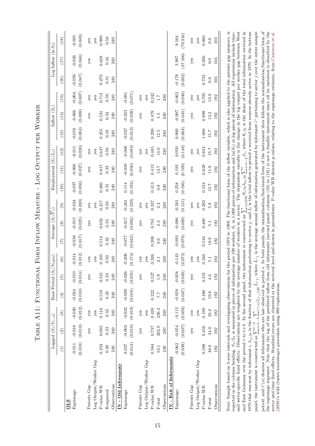|                         |                 | Lagged $(S_t/Y_{t-3})$        |                |             | Base Period $(S_t)$ | $Y_{1970})$ |                 | Average $(S_t/\overline{Y}_t)$ |               |          | Employment $(S_t/L_t)$ |          |          | Inflow $(S_t)$ |          |          | Log Inflow $(\ln S_t)$ |          |
|-------------------------|-----------------|-------------------------------|----------------|-------------|---------------------|-------------|-----------------|--------------------------------|---------------|----------|------------------------|----------|----------|----------------|----------|----------|------------------------|----------|
|                         | $\widehat{\Xi}$ | $\widehat{c}$                 | $\binom{3}{2}$ | $\bigoplus$ | $\widehat{5}$       | $\odot$     | $\widehat{\Xi}$ | $\circled{s}$                  | $\widehat{e}$ | (10)     | (11)                   | (12)     | (13)     | (14)           | $(15)$   | (16)     | (17)                   | (18)     |
| <b>OLS</b>              |                 |                               |                |             |                     |             |                 |                                |               |          |                        |          |          |                |          |          |                        |          |
| Espionage               | $-0.011$        | $-0.016$                      | $-0.030$       | $-0.024$    | $-0.010$            | $-0.014$    | $-0.038$        | $-0.015$                       | $-0.024$      | $-0.037$ | $-0.006$               | $-0.011$ | $-0.018$ | $-0.006$       | $-0.004$ | $-0.056$ | $-0.026$               | $-0.001$ |
|                         | (0.010)         | (0.010)                       | (0.012)        | (0.010)     | (0.014)             | (0.012)     | (0.017)         | (0.025)                        | (0.020)       | (0.036)  | (0.027)                | (0.026)  | (0.004)  | (0.008)        | (0.007)  | (0.047)  | (0.046)                | (0.048)  |
| Patents Gap             |                 | yes                           | $y$ es         |             | yes                 | yes         |                 | yes                            | $y$ es        |          | yes                    | yes      |          | yes            | yes      |          | yes                    | $y$ es   |
| Log Output/Worker Gap   |                 |                               | yes            |             |                     | yes         |                 |                                | yes           |          |                        | yes      |          |                | yes      |          |                        | yes      |
| P-value WB              | 0.234           | 0.083                         | 0.118          | 0.519       | 0.521               | 0.195       | 0.514           | 0.632                          | 0.217         | 0.490    | 0.817                  | 0.647    | 0.255    | 0.531          | 0.713    | 0.279    | 0.628                  | 0.980    |
| R-squared               | 0.30            | 0.33                          | 0.52           | 0.32        | 0.33                | 0.50        | 0.32            | 0.33                           | 0.50          | 0.31     | 0.33                   | 0.50     | 0.33     | 0.34           | 0.50     | 0.31     | 0.34                   | 0.50     |
| Observations            | 240             | 240                           | 240            | 240         | 240                 | 240         | 240             | 240                            | 240           | 240      | 240                    | 240      | 240      | 240            | 240      | 240      | 240                    | 240      |
| IV - Old Informants     |                 |                               |                |             |                     |             |                 |                                |               |          |                        |          |          |                |          |          |                        |          |
| Espionage               | 0.027           | $-0.003$                      | $-0.032$       | $-0.039$    | $-0.026$            | $-0.200$    | $-0.077$        | $-0.017$                       | $-0.261$      | 0.114    | $-0.039$               | $-0.068$ | $-0.027$ | $-0.023$       | $-0.091$ |          |                        |          |
|                         |                 | $(0.014)$ $(0.010)$ $(0.019)$ |                | (0.018)     | (0.055)             | (0.174)     | (0.042)         | (0.082)                        | (0.229)       | (0.192)  | (0.050)                | (0.083)  | (0.013)  | (0.038)        | (0.071)  |          |                        |          |
| Patents Gap             |                 | yes                           | yes            |             | yes                 | yes         |                 | yes                            | yes           |          | yes                    | yes      |          | yes            | yes      |          |                        |          |
| Log Output/Worker Gap   |                 |                               | yes            |             |                     | $y$ es      |                 |                                | $y$ es        |          |                        | $y$ es   |          |                | yes      |          |                        |          |
| P-value WB              | 0.564           | 0.737                         | 0.420          | 0.222       | 0.527               | 0.326       | 0.208           | 0.761                          | 0.337         | 0.413    | 0.413                  | 0.485    | 0.299    | 0.479          | 0.242    |          |                        |          |
| $F-stat$                | 53.1            | 202.0                         | 236.2          | 7.7         | 1.9                 | 2.1         | 3.6             | 2.3                            | 2.4           | 0.8      | 13.7                   | 14.0     | 12.5     | $\ddot{1}$ .5  | 1.7      |          |                        |          |
| Observations            | 240             | 240                           | 240            | 240         | 240                 | 240         | 240             | 240                            | 240           | 240      | 240                    | 240      | 240      | 240            | 240      |          |                        |          |
| IV - Exit of Informants |                 |                               |                |             |                     |             |                 |                                |               |          |                        |          |          |                |          |          |                        |          |
| Espionage               | $-0.062$        | $-0.054$                      | $-0.113$       | $-0.059$    | $-0.058$            | $-0.143$    | $-0.093$        | $-0.096$                       | $-0.261$      | 0.258    | 0.193                  | 0.050    | 0.000    | $-0.007$       | $-0.062$ | $-0.178$ | 3.997                  | 9.164    |
|                         |                 | $(0.039)$ $(0.037)$           | (0.039)        | (0.047)     | (0.049)             | (0.073)     | (0.079)         | (0.089)                        | (0.131)       | (0.196)  | (0.169)                | (0.148)  | (0.064)  | (0.045)        | (0.040)  | (0.692)  | (47.166)               | (79.316) |
| Patents Gap             |                 | yes                           | yes            |             | yes                 | yes         |                 | yes                            | yes           |          | yes                    | yes      |          | yes            | yes      |          | yes                    | yes      |
| Log Output/Worker Gap   |                 |                               | yes            |             |                     | yes         |                 |                                | yes           |          |                        | yes      |          |                | yes      |          |                        | yes      |
| P-value WB              | 0.508           | 0.456                         | 0.199          | 0.480       | 0.431               | 0.340       | 0.516           | 0.460                          | 0.292         | 0.534    | 0.628                  | 0.824    | 1.000    | 0.899          | 0.705    | 0.732    | 0.920                  | 0.860    |

| l<br>ו<br>ו                                                                                                                                                                                                                               |
|-------------------------------------------------------------------------------------------------------------------------------------------------------------------------------------------------------------------------------------------|
| $\begin{bmatrix} 1 \\ 1 \\ 1 \end{bmatrix}$<br>i                                                                                                                                                                                          |
| .<br>.<br>.<br>ι                                                                                                                                                                                                                          |
|                                                                                                                                                                                                                                           |
| l<br><b>I district the contract of the contract of the contract of the contract of the contract of the contract of the contract of the contract of the contract of the contract of the contract of the contract of the contract of th</b> |
|                                                                                                                                                                                                                                           |
| ׇ֘֒<br>l                                                                                                                                                                                                                                  |
| ֧֧֧֧֧֧֧֦֧ׅ֧֧֧֧֧֧֧֦֧֧֧֛֪֧֛֪֧֪֧֧֧֧֧֚֚֚֚֚֚֚֚֚֚֚֚֚֚֚֚֚֚֚֚֚֚֚֚֚֚֚֚֚֝֟֓֝֟֓֝֓֝֓֝֓֜֝֓֓֞֝<br>ׅ֘֒<br>I                                                                                                                                              |
| Í<br>֕                                                                                                                                                                                                                                    |
| $\begin{bmatrix} 1 & 1 & 1 \\ 1 & 1 & 1 \\ 1 & 1 & 1 \end{bmatrix}$<br>l<br>١<br>ֺ֖֧֧ׅ֧֧֧֧ׅ֧֧ׅ֧֧֚֚֚֚֚֚֚֚֚֚֚֚֚֚֚֚֚֚֚֚֚֚֚֚֚֚֡֝֓֜֝֬֝֓֝֬֜֝֬֜֝֬֝<br>I<br>I                                                                                     |

Note: Sample based on 3-year intervals and overlapping observations for the period 1970 to 1989. The functional form of the inflow variable, which is also applied to the patents gap measure, is period, and  $i^*(s)$  denotes all informants who are last observed in period s. In both panels, the normalization/functional form of the instrument then follows the normalization/functional form of the espionage regressor. reported in the column heading.  $S_t/L_t$  is measured in pieces of information per 100 workers,  $S_t$  in 1,000 pieces of information and  $\ln(S_t)$  in  $\log$  pieces of information. All regressions include time-Note: Sample based on 3-year intervals and overlapping observations for the period 1970 to 1989. The functional form of the inflow variable, which is also applied to the patents gap measure, is *St*) in log pieces of information. All regressions include time-*I*<sub>*s*</sub>, where  $θ<sub>i</sub>$ ,70 is the share of the total information received in 1970 that was sent by informant  $i$ ,  $\lambda_{ij,70}$  is the fraction of that information pertaining to sector j, and  $I_s$  is the total inflow in period s received from sources already active in 1970. In the bottom pertaining to sector *j* over the entire sample ∗(*s*) denotes all informants who are last observed in period *s*. In both panels, the normalization/functional form of the instrument then follows the normalization/functional form of the espionage regressor. Note that the log of the predicted inflow from old informants (second panel, columns (16) to (18)) is not a feasible instrument since all its variation is absorbed by the sector and time fixed effects. Standard errors are clustered at the sectoral level and shown in parentheses. P-value WB denotes p-values, relating to the espionage estimate, from Cameron et al. and sector-specific fixed effects. Observations are weighted by the average number of workers in a sector. The dependent variable is the change in the log output per worker gap between West sector and time fixed effects. Standard errors are clustered at the sectoral level and shown in parentheses. P-value WB denotes p-values, relating to the espionage estimate, from [Cameron](#page-30-0) et al.<br>cooper----------------------∗ $\tilde{I}_{i^*j}$ , where  $\tilde{I}_{i^*j}$  is the average annual inflow of information generated by informant *i St* in 1,000 pieces of information and ln( *s*=*t*−2  $\tilde{\mathcal{L}}$ *θi,*70*λij,*70 *i*∈1970  $\boxtimes$ and East Germany over the period t to t+3. In the second panel, the instrument is constructed as  $S_t/L_t$  is measured in pieces of information per 100 workers, (2008)'s wild cluster bootstrap-t procedure using 999 replications. [\(2008\)](#page-30-0)'s wild cluster bootstrap-t procedure using 999 replications. *i*∗(*s*)|¯*Ii*∗*j*≥20  $\boxtimes$ *s*=*t*−5 P*t*−3 panel, the instrument is constructed as reported in the column heading.

F-stat 48.8 34.0 33.2 19.8 4.6 5.1 18.8 5.1 5.8 13.7 11.9 15.7 15.7 13.2 13.9 0.9 0.0 0.0 Observations 192 192 192 192 192 192 192 192 192 192 192 192 192 192 192 103 103 103

 $5.1$ 192

 $18.8\,$ 192

 $4.6$ 192

19.8 192

33.2 192

34.0 192

48.8 192

Observations

 $F-stat$ 

192  $\overline{5}$ .

192 5.8

 $0.0$ 103

 $0.0$ 103

13.9 192

13.2 192

15.7 192

15.7 192

11.9 192

13.7 192

103  $0.9$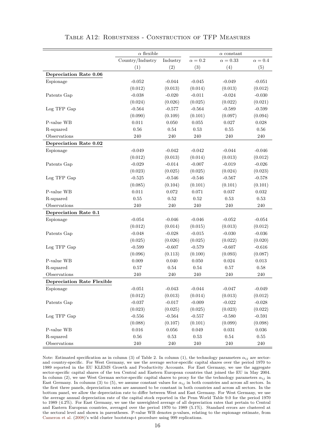|                                   | $\alpha$ flexible |            |              | $\alpha$ constant |                |
|-----------------------------------|-------------------|------------|--------------|-------------------|----------------|
|                                   | Country/Industry  | Industry   | $\alpha=0.2$ | $\alpha=0.33$     | $\alpha = 0.4$ |
|                                   | (1)               | (2)        | (3)          | (4)               | (5)            |
| Depreciation Rate 0.06            |                   |            |              |                   |                |
| Espionage                         | $-0.052$          | $-0.044$   | $-0.045$     | $-0.049$          | $-0.051$       |
|                                   | (0.012)           | (0.013)    | (0.014)      | (0.013)           | (0.012)        |
| Patents Gap                       | $-0.038$          | $-0.020$   | $-0.011$     | $-0.024$          | $-0.030$       |
|                                   | (0.024)           | (0.026)    | (0.025)      | (0.022)           | (0.021)        |
| Log TFP Gap                       | $-0.564$          | $-0.577$   | $-0.564$     | $-0.589$          | $-0.599$       |
|                                   | (0.090)           | (0.109)    | (0.101)      | (0.097)           | (0.094)        |
| $P$ -value WB                     | 0.011             | 0.050      | 0.055        | 0.027             | 0.028          |
| R-squared                         | 0.56              | 0.54       | 0.53         | 0.55              | 0.56           |
| Observations                      | 240               | 240        | 240          | 240               | 240            |
| Depreciation Rate 0.02            |                   |            |              |                   |                |
| Espionage                         | $-0.049$          | $-0.042$   | $-0.042$     | $-0.044$          | $-0.046$       |
|                                   | (0.012)           | (0.013)    | (0.014)      | (0.013)           | (0.012)        |
| Patents Gap                       | $-0.029$          | $-0.014$   | $-0.007$     | $-0.019$          | $-0.026$       |
|                                   | (0.023)           | (0.025)    | (0.025)      | (0.024)           | (0.023)        |
| Log TFP Gap                       | $-0.525$          | $-0.546$   | $-0.546$     | $-0.567$          | $-0.578$       |
|                                   | (0.085)           | (0.104)    | (0.101)      | (0.101)           | (0.101)        |
| P-value WB                        | 0.011             | 0.072      | 0.071        | 0.037             | 0.032          |
| R-squared                         | 0.55              | 0.52       | 0.52         | 0.53              | 0.53           |
| Observations                      | 240               | 240        | 240          | 240               | 240            |
| Depreciation Rate 0.1             |                   |            |              |                   |                |
| Espionage                         | $-0.054$          | $-0.046$   | $-0.046$     | $-0.052$          | $-0.054$       |
|                                   | (0.012)           | (0.014)    | (0.015)      | (0.013)           | (0.012)        |
| Patents Gap                       | $-0.048$          | $-0.028$   | $-0.015$     | $-0.030$          | $-0.036$       |
|                                   | (0.025)           | (0.026)    | (0.025)      | (0.022)           | (0.020)        |
| Log TFP Gap                       | $-0.599$          | $-0.607$   | $-0.579$     | $-0.607$          | $-0.616$       |
|                                   | (0.096)           | (0.113)    | (0.100)      | (0.093)           | (0.087)        |
| P-value WB                        | 0.009             | 0.040      | $0.050\,$    | 0.024             | 0.013          |
| R-squared                         | 0.57              | 0.54       | 0.54         | 0.57              | 0.58           |
| Observations                      | 240               | 240        | 240          | 240               | 240            |
| <b>Depreciation Rate Flexible</b> |                   |            |              |                   |                |
| Espionage                         | $-0.051$          | $-0.043$   | $-0.044$     | $-0.047$          | $-0.049$       |
|                                   | (0.012)           | (0.013)    | (0.014)      | (0.013)           | (0.012)        |
| Patents Gap                       | $-0.037$          | $-0.017$   | $-0.009$     | $-0.022$          | $-0.028$       |
|                                   | (0.023)           | (0.025)    | (0.025)      | (0.023)           | (0.022)        |
| Log TFP Gap                       | $-0.556$          | $-0.564$   | $-0.557$     | $-0.580$          | $-0.591$       |
|                                   | (0.088)           | (0.107)    | (0.101)      | (0.099)           | (0.098)        |
| P-value $\operatorname{WB}$       | 0.016             | 0.056      | $\,0.049\,$  | $\,0.031\,$       | 0.036          |
| R-squared                         | 0.56              | $\rm 0.53$ | $0.53\,$     | 0.54              | $0.55\,$       |
| Observations                      | $240\,$           | $240\,$    | $240\,$      | $240\,$           | $240\,$        |

#### Table A12: Robustness - Construction of TFP Measures

Note: Estimated specification as in column (3) of Table 2. In column (1), the technology parameters *αij* are sectorand country-specific. For West Germany, we use the average sector-specific capital shares over the period 1970 to 1989 reported in the EU KLEMS Growth and Productivity Accounts. For East Germany, we use the aggregate sector-specific capital shares of the ten Central and Eastern European countries that joined the EU in May 2004. In column (2), we use West German sector-specific capital shares to proxy for the the technology parameters  $\alpha_{ij}$  in East Germany. In columns (3) to (5), we assume constant values for  $\alpha_{ij}$  in both countries and across all sectors. In the first three panels, depreciation rates are assumed to be constant in both countries and across all sectors. In the bottom panel, we allow the depreciation rate to differ between West and East Germany. For West Germany, we use the average annual depreciation rate of the capital stock reported in the Penn World Table 9.0 for the period 1970 to 1989 (4.2%). For East Germany, we use the unweighted average of all depreciation rates that pertain to Central and Eastern European countries, averaged over the period 1970 to 1989 (5.1%). Standard errors are clustered at the sectoral level and shown in parentheses. P-value WB denotes p-values, relating to the espionage estimate, from [Cameron et al.](#page-30-0) [\(2008\)](#page-30-0)'s wild cluster bootstrap-t procedure using 999 replications.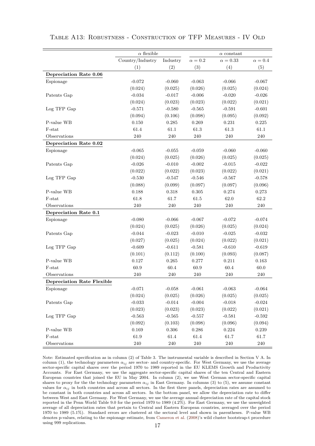|                                   | $\alpha$ flexible |           |              | $\alpha$ constant |              |
|-----------------------------------|-------------------|-----------|--------------|-------------------|--------------|
|                                   | Country/Industry  | Industry  | $\alpha=0.2$ | $\alpha=0.33$     | $\alpha=0.4$ |
|                                   | (1)               | (2)       | (3)          | (4)               | (5)          |
| Depreciation Rate 0.06            |                   |           |              |                   |              |
| Espionage                         | $-0.072$          | $-0.060$  | $-0.063$     | $-0.066$          | $-0.067$     |
|                                   | (0.024)           | (0.025)   | (0.026)      | (0.025)           | (0.024)      |
| Patents Gap                       | $-0.034$          | $-0.017$  | $-0.006$     | $-0.020$          | $-0.026$     |
|                                   | (0.024)           | (0.023)   | (0.023)      | (0.022)           | (0.021)      |
| Log TFP Gap                       | $-0.571$          | $-0.580$  | $-0.565$     | $-0.591$          | $-0.601$     |
|                                   | (0.094)           | (0.106)   | (0.098)      | (0.095)           | (0.092)      |
| P-value WB                        | 0.150             | 0.285     | 0.269        | 0.231             | 0.225        |
| F-stat                            | 61.4              | 61.1      | 61.3         | 61.3              | 61.1         |
| Observations                      | 240               | 240       | 240          | 240               | 240          |
| Depreciation Rate 0.02            |                   |           |              |                   |              |
| Espionage                         | $-0.065$          | $-0.055$  | $-0.059$     | $-0.060$          | $-0.060$     |
|                                   | (0.024)           | (0.025)   | (0.026)      | (0.025)           | (0.025)      |
| Patents Gap                       | $-0.026$          | $-0.010$  | $-0.002$     | $-0.015$          | $-0.022$     |
|                                   | (0.022)           | (0.022)   | (0.023)      | (0.022)           | (0.021)      |
| Log TFP Gap                       | $-0.530$          | $-0.547$  | $-0.546$     | $-0.567$          | $-0.578$     |
|                                   | (0.088)           | (0.099)   | (0.097)      | (0.097)           | (0.096)      |
| P-value WB                        | 0.188             | 0.318     | 0.305        | 0.274             | 0.273        |
| F-stat                            | 61.8              | 61.7      | $61.5\,$     | 62.0              | 62.2         |
| Observations                      | $240\,$           | 240       | $240\,$      | 240               | $240\,$      |
| Depreciation Rate 0.1             |                   |           |              |                   |              |
| Espionage                         | $-0.080$          | $-0.066$  | $-0.067$     | $-0.072$          | $-0.074$     |
|                                   | (0.024)           | (0.025)   | (0.026)      | (0.025)           | (0.024)      |
| Patents Gap                       | $-0.044$          | $-0.023$  | $-0.010$     | $-0.025$          | $-0.032$     |
|                                   | (0.027)           | (0.025)   | (0.024)      | (0.022)           | (0.021)      |
| Log TFP Gap                       | $-0.609$          | $-0.611$  | $-0.581$     | $-0.610$          | $-0.619$     |
|                                   | (0.101)           | (0.112)   | (0.100)      | (0.093)           | (0.087)      |
| P-value WB                        | 0.127             | 0.265     | 0.277        | 0.211             | 0.163        |
| F-stat                            | 60.9              | 60.4      | 60.9         | 60.4              | $60.0\,$     |
| Observations                      | 240               | 240       | $240\,$      | $240\,$           | 240          |
| <b>Depreciation Rate Flexible</b> |                   |           |              |                   |              |
| Espionage                         | $-0.071$          | $-0.058$  | $-0.061$     | $-0.063$          | $-0.064$     |
|                                   | (0.024)           | (0.025)   | (0.026)      | (0.025)           | (0.025)      |
| Patents Gap                       | $-0.033$          | $-0.014$  | $-0.004$     | $-0.018$          | $-0.024$     |
|                                   | (0.023)           | (0.023)   | (0.023)      | (0.022)           | (0.021)      |
| Log TFP Gap                       | $-0.563$          | $-0.565$  | $-0.557$     | $-0.581$          | $-0.592$     |
|                                   | (0.092)           | (0.103)   | (0.098)      | (0.096)           | (0.094)      |
| P-value WB                        | $\,0.169\,$       | $0.306\,$ | $0.286\,$    | $0.224\,$         | $0.239\,$    |
| F-stat                            | $61.9\,$          | $61.4\,$  | $61.4\,$     | $61.7\,$          | $61.7\,$     |
| Observations                      | $240\,$           | $240\,$   | $240\,$      | $240\,$           | $240\,$      |

Table A13: Robustness - Construction of TFP Measures - IV Old

Note: Estimated specification as in column (2) of Table 3. The instrumental variable is described in Section V A. In column (1), the technology parameters  $\alpha_{ij}$  are sector- and country-specific. For West Germany, we use the average sector-specific capital shares over the period 1970 to 1989 reported in the EU KLEMS Growth and Productivity Accounts. For East Germany, we use the aggregate sector-specific capital shares of the ten Central and Eastern European countries that joined the EU in May 2004. In column (2), we use West German sector-specific capital shares to proxy for the the technology parameters  $\alpha_{ij}$  in East Germany. In columns (3) to (5), we assume constant values for  $\alpha_{ij}$  in both countries and across all sectors. In the first three panels, depreciation rates are assumed to be constant in both countries and across all sectors. In the bottom panel, we allow the depreciation rate to differ between West and East Germany. For West Germany, we use the average annual depreciation rate of the capital stock reported in the Penn World Table 9.0 for the period 1970 to 1989 (4.2%). For East Germany, we use the unweighted average of all depreciation rates that pertain to Central and Eastern European countries, averaged over the period 1970 to 1989 (5.1%). Standard errors are clustered at the sectoral level and shown in parentheses. P-value WB denotes p-values, relating to the espionage estimate, from [Cameron et al.](#page-30-0) [\(2008\)](#page-30-0)'s wild cluster bootstrap-t procedure using 999 replications. 17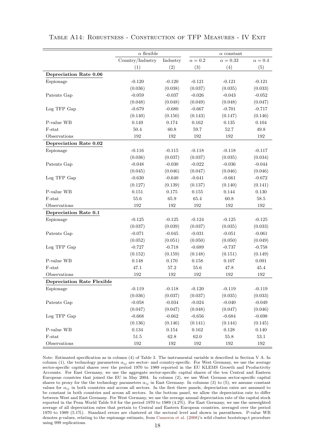|                                   | $\alpha$ flexible |           |              | $\alpha$ constant |                |
|-----------------------------------|-------------------|-----------|--------------|-------------------|----------------|
|                                   | Country/Industry  | Industry  | $\alpha=0.2$ | $\alpha=0.33$     | $\alpha = 0.4$ |
|                                   | (1)               | (2)       | (3)          | (4)               | (5)            |
| Depreciation Rate 0.06            |                   |           |              |                   |                |
| Espionage                         | $-0.120$          | $-0.120$  | $-0.121$     | $-0.121$          | $-0.121$       |
|                                   | (0.036)           | (0.038)   | (0.037)      | (0.035)           | (0.033)        |
| Patents Gap                       | $-0.059$          | $-0.037$  | $-0.026$     | $-0.043$          | $-0.052$       |
|                                   | (0.048)           | (0.048)   | (0.049)      | (0.048)           | (0.047)        |
| Log TFP Gap                       | $-0.679$          | $-0.680$  | $-0.667$     | $-0.701$          | $-0.717$       |
|                                   | (0.140)           | (0.150)   | (0.143)      | (0.147)           | (0.146)        |
| P-value WB                        | 0.149             | 0.174     | 0.162        | 0.135             | 0.104          |
| F-stat                            | 50.4              | $60.8\,$  | $59.7\,$     | 52.7              | 49.8           |
| Observations                      | 192               | 192       | $192\,$      | 192               | 192            |
| Depreciation Rate 0.02            |                   |           |              |                   |                |
| Espionage                         | $-0.116$          | $-0.115$  | $-0.118$     | $-0.118$          | $-0.117$       |
|                                   | (0.036)           | (0.037)   | (0.037)      | (0.035)           | (0.034)        |
| Patents Gap                       | $-0.048$          | $-0.030$  | $-0.022$     | $-0.036$          | $-0.044$       |
|                                   | (0.045)           | (0.046)   | (0.047)      | (0.046)           | (0.046)        |
| Log TFP Gap                       | $-0.630$          | $-0.640$  | $-0.641$     | $-0.661$          | $-0.672$       |
|                                   | (0.127)           | (0.139)   | (0.137)      | (0.140)           | (0.141)        |
| P-value WB                        | 0.151             | 0.175     | 0.155        | 0.144             | 0.130          |
| F-stat                            | 55.6              | 65.9      | $65.4\,$     | $60.8\,$          | 58.5           |
| Observations                      | 192               | $192\,$   | $192\,$      | 192               | 192            |
| Depreciation Rate 0.1             |                   |           |              |                   |                |
| Espionage                         | $-0.125$          | $-0.125$  | $-0.124$     | $-0.125$          | $-0.125$       |
|                                   | (0.037)           | (0.039)   | (0.037)      | (0.035)           | (0.033)        |
| Patents Gap                       | $-0.071$          | $-0.045$  | $-0.031$     | $-0.051$          | $-0.061$       |
|                                   | (0.052)           | (0.051)   | (0.050)      | (0.050)           | (0.049)        |
| Log TFP Gap                       | $-0.727$          | $-0.718$  | $-0.689$     | $-0.737$          | $-0.758$       |
|                                   | (0.152)           | (0.159)   | (0.148)      | (0.151)           | (0.149)        |
| P-value WB                        | 0.148             | 0.170     | 0.158        | 0.107             | 0.091          |
| F-stat                            | 47.1              | 57.2      | $55.6\,$     | 47.8              | 45.4           |
| Observations                      | 192               | 192       | 192          | 192               | 192            |
| <b>Depreciation Rate Flexible</b> |                   |           |              |                   |                |
| Espionage                         | $-0.119$          | $-0.118$  | $-0.120$     | $-0.119$          | $-0.119$       |
|                                   | (0.036)           | (0.037)   | (0.037)      | (0.035)           | (0.033)        |
| Patents Gap                       | $-0.058$          | $-0.034$  | $-0.024$     | $-0.040$          | $-0.049$       |
|                                   | (0.047)           | (0.047)   | (0.048)      | (0.047)           | (0.046)        |
| Log TFP Gap                       | $-0.668$          | $-0.662$  | $-0.656$     | $-0.684$          | $-0.698$       |
|                                   | (0.136)           | (0.146)   | (0.141)      | (0.144)           | (0.145)        |
| P-value WB                        | $0.134\,$         | $0.154\,$ | $\,0.162\,$  | $0.128\,$         | 0.140          |
| F-stat                            | $51.5\,$          | $62.8\,$  | $62.0\,$     | $55.8\,$          | $53.1\,$       |
| Observations                      | $192\,$           | $192\,$   | 192          | $192\,$           | $192\,$        |

#### Table A14: Robustness - Construction of TFP Measures - IV Exit

Note: Estimated specification as in column (4) of Table 3. The instrumental variable is described in Section V A. In column (1), the technology parameters  $\alpha_{ij}$  are sector- and country-specific. For West Germany, we use the average sector-specific capital shares over the period 1970 to 1989 reported in the EU KLEMS Growth and Productivity Accounts. For East Germany, we use the aggregate sector-specific capital shares of the ten Central and Eastern European countries that joined the EU in May 2004. In column (2), we use West German sector-specific capital shares to proxy for the the technology parameters  $\alpha_{ij}$  in East Germany. In columns (3) to (5), we assume constant values for  $\alpha_{ij}$  in both countries and across all sectors. In the first three panels, depreciation rates are assumed to be constant in both countries and across all sectors. In the bottom panel, we allow the depreciation rate to differ between West and East Germany. For West Germany, we use the average annual depreciation rate of the capital stock reported in the Penn World Table 9.0 for the period 1970 to 1989 (4.2%). For East Germany, we use the unweighted average of all depreciation rates that pertain to Central and Eastern European countries, averaged over the period 1970 to 1989 (5.1%). Standard errors are clustered at the sectoral level and shown in parentheses. P-value WB denotes p-values, relating to the espionage estimate, from [Cameron et al.](#page-30-0) [\(2008\)](#page-30-0)'s wild cluster bootstrap-t procedure using 999 replications. 18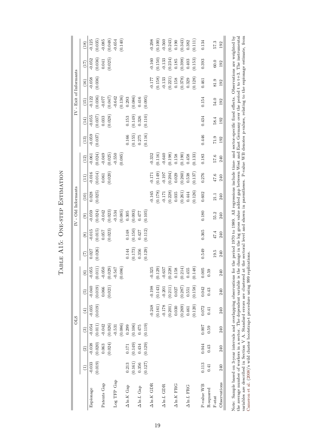|                         | (18)                 | $-0.125$  | (0.035)               | $-0.085$    | (0.048)               | $-0.654$    | (0.140) |                    |                                           |                                                 |         | $-0.298$           | (0.100) | $-0.560$           | (0.243) | 0.190                                                               | (0.343) | 0.382              | (0.111) | 0.134      |           | 57.3     | 192          |
|-------------------------|----------------------|-----------|-----------------------|-------------|-----------------------|-------------|---------|--------------------|-------------------------------------------|-------------------------------------------------|---------|--------------------|---------|--------------------|---------|---------------------------------------------------------------------|---------|--------------------|---------|------------|-----------|----------|--------------|
|                         | (17)                 | $-0.052$  | (0.036)               | $0.041\,$   | (0.025)               |             |         |                    |                                           |                                                 |         | $-0.160$           | (0.150) | $-0.133$           | (0.234) | 0.185                                                               | (0.398) | 0.403              | (0.153) | 0.393      |           | 60.0     | 192          |
|                         | (16)                 | $-0.058$  | (0.036)               |             |                       |             |         |                    |                                           |                                                 |         | $-0.177$           | (0.158) | $-0.133$           | (0.221) | 0.158                                                               | (0.378) | 0.329              | (0.128) | 0.461      |           | 81.9     | 192          |
| IV - Exit of Informants | (15)                 | $-0.122$  | (0.036)               | $-0.077$    | (0.047)               | $-0.642$    | (0.136) | 0.293              | (0.086)                                   | 0.416                                           | (0.095) |                    |         |                    |         |                                                                     |         |                    |         | 0.154      |           | 54.0     | 192          |
|                         | (14)                 | $-0.055$  | (0.037)               | 0.033       | (0.028)               |             |         | 0.153              | $(0.149)$<br>0.326                        |                                                 | (0.110) |                    |         |                    |         |                                                                     |         |                    |         | 0.434      |           | 58.4     | 192          |
|                         | $(13)$               | $-0.059$  | (0.037)               |             |                       |             |         | 0.166              |                                           | $(0.155)$<br>$0.275$                            | (0.116) |                    |         |                    |         |                                                                     |         |                    |         | 0.446      |           | 71.9     | 192          |
|                         | (12)                 | $-0.061$  | (0.024)               | $-0.049$    | (0.025)               | $-0.550$    | (0.085) |                    |                                           |                                                 |         | $-0.332$           | (0.116) | $-0.640$           | (0.198) | 0.158                                                               | (0.190) | 0.458              | (0.133) | 0.183      |           | 9.75     | 240          |
|                         | (11)                 | $-0.016$  | (0.014)               | $\!0.061$   | (0.020)               |             |         |                    |                                           |                                                 |         | $-0.171$           | (0.149) | $-0.197$           | (0.204) | 0.029                                                               | (0.260) | 0.538              | (0.137) | 0.276      |           | 47.6     | 240          |
| IV - Old Informants     | (10)                 | 0.028     | (0.025)               |             |                       |             |         |                    |                                           |                                                 |         | $-0.165$           | (0.178) | $-0.171$           | (0.228) | 0.035                                                               | (0.261) | 0.444              | (0.126) | 0.602      |           | 21.1     | 240          |
|                         | $\circledcirc$       | $-0.059$  | (0.024)               | $-0.042$    | (0.023)               | $-0.534$    | (0.085) | 0.305              | (0.093)                                   | 0.477                                           | (0.105) |                    |         |                    |         |                                                                     |         |                    |         | 0.180      |           | 55.2     | 240          |
|                         | $\circ$              | $-0.015$  | (0.015)               | 0.057       | (0.023)               |             |         | 0.148              | (0.150)                                   | 0.427                                           | (0.112) |                    |         |                    |         |                                                                     |         |                    |         | 0.365      |           | 47.4     | 240          |
|                         | (7)                  | 0.027     | (0.026)               |             |                       |             |         | 0.144              | (0.173)                                   | 0.356                                           | (0.129) |                    |         |                    |         |                                                                     |         |                    |         | 0.549      |           | 19.5     | 240          |
|                         | $\widehat{\circ}$    | $-0.055$  | $(0.011)$<br>-0.050   |             | $(0.029)$<br>$-0.547$ |             | (0.086) |                    |                                           |                                                 |         | $-0.325$           | (0.129) | $-0.637$           |         | $\begin{array}{c} (0.228) \\ 0.158 \\ (0.214) \\ 0.455 \end{array}$ |         |                    | (0.148) | 0.005      | 0.59      |          | 240          |
|                         | $\binom{5}{5}$       | $-0.040$  | (0.019)               | 0.066       | (0.021)               |             |         |                    |                                           |                                                 |         | $-0.198$           | (0.143) | $-0.201$           | (0.211) | 0.027                                                               | (0.287) | 0.551              | (0.158) | 0.042      | 0.43      |          | 240          |
|                         | $\left( \pm \right)$ | $-0.035$  | (0.019)               |             |                       |             |         |                    |                                           |                                                 |         | $-0.248$           | (0.161) | $-0.178$           | (0.201) | 0.030                                                               | (0.269) | 0.461              | (0.120) | 0.072      | 0.41      |          | 240          |
| <b>OLS</b>              | $\circled3$          | $-0.054$  | $(0.011)$<br>$-0.042$ |             | (0.026)               | $-0.531$    | (0.086) | 0.299              |                                           | $\begin{array}{c} (0.106) \\ 0.475 \end{array}$ | (0.119) |                    |         |                    |         |                                                                     |         |                    |         | 0.007      | 0.59      |          | 240          |
|                         | $\widehat{c}$        | $-0.038$  | (0.020)               | 0.063       | (0.024)               |             |         | $0.171\,$          | $\left(0.149\right)$ $\left(0.434\right)$ |                                                 | (0.129) |                    |         |                    |         |                                                                     |         |                    |         | 0.044      | 0.43      |          | 240          |
|                         | $\widehat{E}$        | $-0.033$  | (0.019)               |             |                       |             |         | 0.213              |                                           | $\begin{array}{c} (0.161) \\ 0.356 \end{array}$ | (0.127) |                    |         |                    |         |                                                                     |         |                    |         | 0.113      | 0.41      |          | 240          |
|                         |                      | Espionage |                       | Patents Gap |                       | Log TFP Gap |         | $\Delta \ln K$ Gap |                                           | $\Delta \ln L$ Gap                              |         | $\Delta \ln K$ GDR |         | $\Delta \ln L$ GDR |         | $\Delta \ln K$ FRG                                                  |         | $\Delta \ln L$ FRG |         | P-value WB | R-squared | $F-stat$ | Observations |

TABLE A15: ONE-STEP ESTIMATION Table A15: One-step Estimation Note: Sample based on 3-year intervals and overlapping observations for the period 1970 to 1989. All regressions include time- and sector-specific fixed effects. Observations are weighted by the average number of workers Note: Sample based on 3-year intervals and overlapping observations for the period 1970 to 1989. All regressions include time- and sector-specific fixed effects. Observations are weighted by the average number of workers in a sector. The dependent variable is the change in the log gross value added gap between West and East Germany over the period t to t+3. The instrumental variables are described in Section V A. Standard errors are clustered at the sectoral level and shown in parentheses. P-value WB denotes p-values, relating to the espionage estimate, from  $\alpha_{\rm{mean}}$ [Cameron](#page-30-0) et al. [\(2008\)](#page-30-0)'s wild cluster bootstrap-t procedure using 999 replications.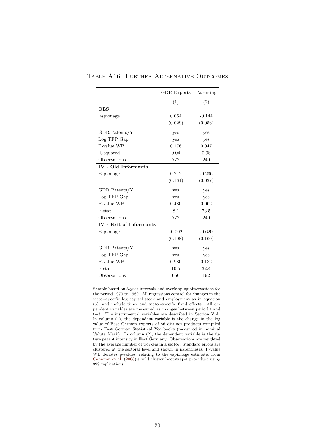|                            | <b>GDR</b> Exports | Patenting |
|----------------------------|--------------------|-----------|
|                            | (1)                | (2)       |
| $_{\rm OLS}$               |                    |           |
| Espionage                  | 0.064              | $-0.144$  |
|                            | (0.029)            | (0.056)   |
| GDR Patents/Y              | yes                | yes       |
| Log TFP Gap                | yes                | yes       |
| P-value WB                 | 0.176              | 0.047     |
| R-squared                  | 0.04               | 0.98      |
| Observations               | 772                | 240       |
| <b>IV</b> - Old Informants |                    |           |
| Espionage                  | 0.212              | $-0.236$  |
|                            | (0.161)            | (0.027)   |
| GDR Patents/Y              | yes                | yes       |
| Log TFP Gap                | yes                | yes       |
| P-value WB                 | 0.480              | 0.002     |
| F-stat                     | 8.1                | 73.5      |
| Observations               | 772                | 240       |
| IV - Exit of Informants    |                    |           |
| Espionage                  | $-0.002$           | $-0.620$  |
|                            | (0.108)            | (0.160)   |
| GDR Patents/Y              | yes                | yes       |
| Log TFP Gap                | yes                | yes       |
| P-value WB                 | 0.980              | 0.182     |
| F-stat                     | 10.5               | 32.4      |
| Observations               | 650                | 192       |

#### Table A16: Further Alternative Outcomes

Sample based on 3-year intervals and overlapping observations for the period 1970 to 1989. All regressions control for changes in the sector-specific log capital stock and employment as in equation (6), and include time- and sector-specific fixed effects. All dependent variables are measured as changes between period t and t+3. The instrumental variables are described in Section V.A. In column (1), the dependent variable is the change in the log value of East German exports of 86 distinct products compiled from East German Statistical Yearbooks (measured in nominal Valuta Mark). In column (2), the dependent variable is the future patent intensity in East Germany. Observations are weighted by the average number of workers in a sector. Standard errors are clustered at the sectoral level and shown in parentheses. P-value WB denotes p-values, relating to the espionage estimate, from [Cameron et al.](#page-30-0) [\(2008\)](#page-30-0)'s wild cluster bootstrap-t procedure using 999 replications.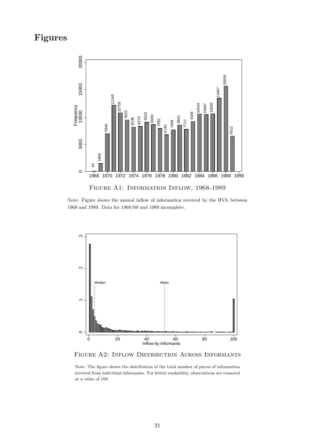## **Figures**



Note: Figure shows the annual inflow of information received by the HVA between 1968 and 1989. Data for 1968/69 and 1989 incomplete.



Figure A2: Inflow Distribution Across Informants

Note: The figure shows the distribution of the total number of pieces of information received from individual informants. For better readability, observations are censored at a value of 100.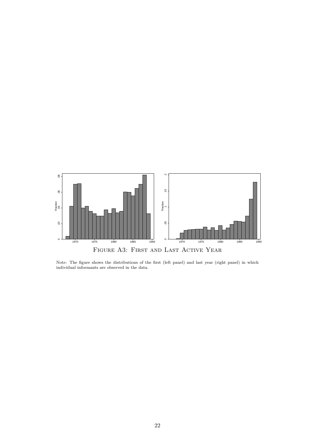

Note: The figure shows the distributions of the first (left panel) and last year (right panel) in which individual informants are observed in the data.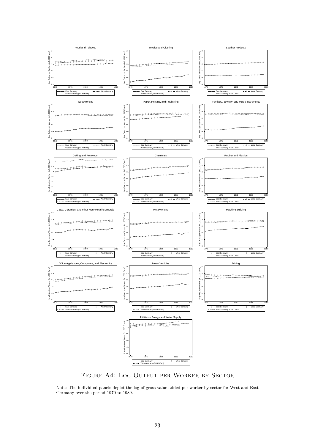

Figure A4: Log Output per Worker by Sector

Note: The individual panels depict the log of gross value added per worker by sector for West and East Germany over the period 1970 to 1989.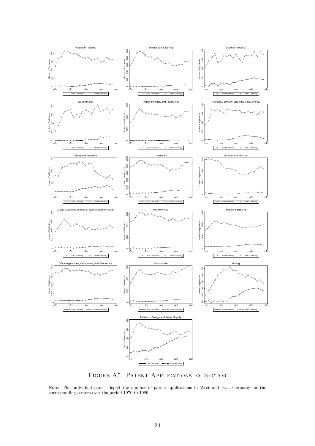

Figure A5: Patent Applications by Sector

Note: The individual panels depict the number of patent applications in West and East Germany for the corresponding sectors over the period 1970 to 1989.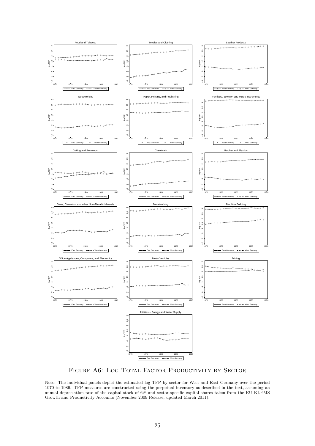

FIGURE A6: LOG TOTAL FACTOR PRODUCTIVITY BY SECTOR

Note: The individual panels depict the estimated log TFP by sector for West and East Germany over the period 1970 to 1989. TFP measures are constructed using the perpetual inventory as described in the text, assuming an annual depreciation rate of the capital stock of 6% and sector-specific capital shares taken from the EU KLEMS Growth and Productivity Accounts (November 2009 Release, updated March 2011).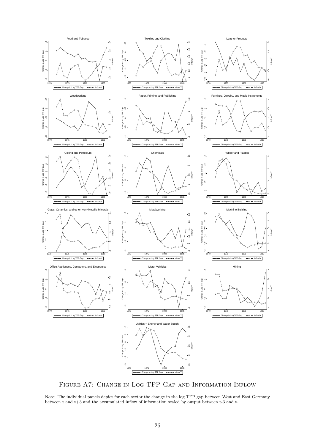

Figure A7: Change in Log TFP Gap and Information Inflow

Note: The individual panels depict for each sector the change in the log TFP gap between West and East Germany between t and t+3 and the accumulated inflow of information scaled by output between t-3 and t.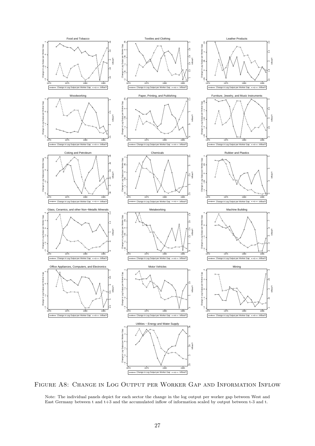

Figure A8: Change in Log Output per Worker Gap and Information Inflow

Note: The individual panels depict for each sector the change in the log output per worker gap between West and East Germany between t and t+3 and the accumulated inflow of information scaled by output between t-3 and t.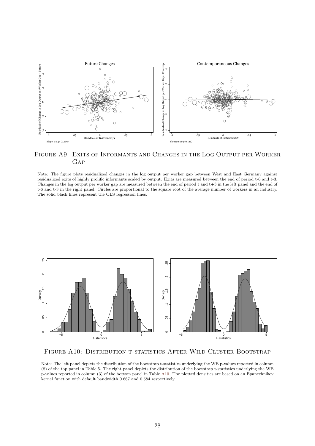

Figure A9: Exits of Informants and Changes in the Log Output per Worker **GAP** 

Note: The figure plots residualized changes in the log output per worker gap between West and East Germany against residualized exits of highly prolific informants scaled by output. Exits are measured between the end of period t-6 and t-3. Changes in the log output per worker gap are measured between the end of period  $t$  and  $t+3$  in the left panel and the end of t-6 and t-3 in the right panel. Circles are proportional to the square root of the average number of workers in an industry. The solid black lines represent the OLS regression lines.



Figure A10: Distribution t-statistics After Wild Cluster Bootstrap

Note: The left panel depicts the distribution of the bootstrap t-statistics underlying the WB p-values reported in column (8) of the top panel in Table 5. The right panel depicts the distribution of the bootstrap t-statistics underlying the WB p-values reported in column (3) of the bottom panel in Table [A10.](#page-13-0) The plotted densities are based on an Epanechnikov kernel function with default bandwidth 0.667 and 0.584 respectively.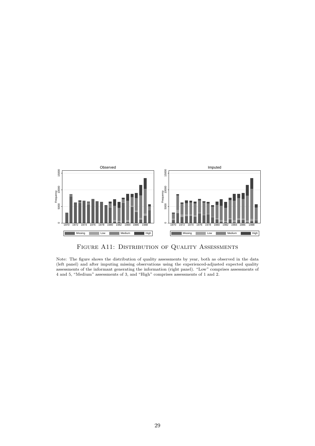

FIGURE A11: DISTRIBUTION OF QUALITY ASSESSMENTS

Note: The figure shows the distribution of quality assessments by year, both as observed in the data (left panel) and after imputing missing observations using the experienced-adjusted expected quality assessments of the informant generating the information (right panel). "Low" comprises assessments of 4 and 5, "Medium" assessments of 3, and "High" comprises assessments of 1 and 2.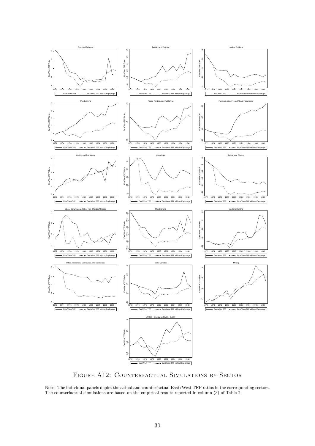

Figure A12: Counterfactual Simulations by Sector

Note: The individual panels depict the actual and counterfactual East/West TFP ratios in the corresponding sectors. The counterfactual simulations are based on the empirical results reported in column (3) of Table 2.